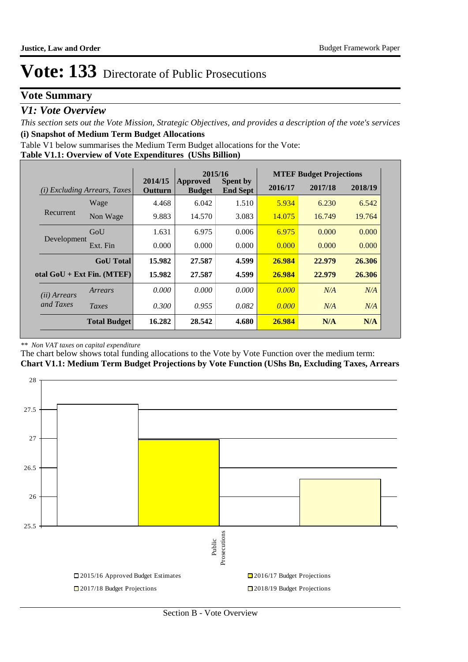### **Vote Summary**

### *V1: Vote Overview*

*This section sets out the Vote Mission, Strategic Objectives, and provides a description of the vote's services* **(i) Snapshot of Medium Term Budget Allocations** 

Table V1 below summarises the Medium Term Budget allocations for the Vote:

**Table V1.1: Overview of Vote Expenditures (UShs Billion)**

|                       |                                 |                    | 2015/16                   |                                    |         | <b>MTEF Budget Projections</b> |         |
|-----------------------|---------------------------------|--------------------|---------------------------|------------------------------------|---------|--------------------------------|---------|
| (i)                   | <i>Excluding Arrears, Taxes</i> | 2014/15<br>Outturn | Approved<br><b>Budget</b> | <b>Spent by</b><br><b>End Sept</b> | 2016/17 | 2017/18                        | 2018/19 |
|                       | Wage                            | 4.468              | 6.042                     | 1.510                              | 5.934   | 6.230                          | 6.542   |
| Recurrent             | Non Wage                        | 9.883              | 14.570                    | 3.083                              | 14.075  | 16.749                         | 19.764  |
|                       | GoU                             | 1.631              | 6.975                     | 0.006                              | 6.975   | 0.000                          | 0.000   |
| Development           | Ext. Fin                        | 0.000              | 0.000                     | 0.000                              | 0.000   | 0.000                          | 0.000   |
|                       | <b>GoU</b> Total                | 15.982             | 27.587                    | 4.599                              | 26.984  | 22.979                         | 26.306  |
|                       | otal $GoU + Ext Fin. (MTEF)$    | 15.982             | 27.587                    | 4.599                              | 26.984  | 22.979                         | 26.306  |
| ( <i>ii</i> ) Arrears | Arrears                         | 0.000              | 0.000                     | 0.000                              | 0.000   | N/A                            | N/A     |
| and Taxes             | Taxes                           | 0.300              | 0.955                     | 0.082                              | 0.000   | N/A                            | N/A     |
|                       | <b>Total Budget</b>             | 16.282             | 28.542                    | 4.680                              | 26.984  | N/A                            | N/A     |

#### *\*\* Non VAT taxes on capital expenditure*

The chart below shows total funding allocations to the Vote by Vote Function over the medium term: **Chart V1.1: Medium Term Budget Projections by Vote Function (UShs Bn, Excluding Taxes, Arrears**

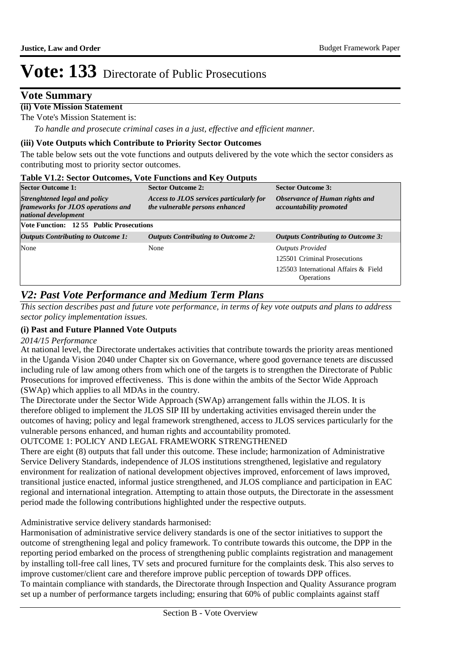### **Vote Summary**

#### **(ii) Vote Mission Statement**

The Vote's Mission Statement is:

*To handle and prosecute criminal cases in a just, effective and efficient manner.*

#### **(iii) Vote Outputs which Contribute to Priority Sector Outcomes**

The table below sets out the vote functions and outputs delivered by the vote which the sector considers as contributing most to priority sector outcomes.

#### **Table V1.2: Sector Outcomes, Vote Functions and Key Outputs**

| <b>Sector Outcome 1:</b>                                                                    | <b>Sector Outcome 2:</b>                                                    | <b>Sector Outcome 3:</b>                                         |  |  |  |  |  |
|---------------------------------------------------------------------------------------------|-----------------------------------------------------------------------------|------------------------------------------------------------------|--|--|--|--|--|
| Strenghtened legal and policy<br>frameworks for JLOS operations and<br>national development | Access to JLOS services particularly for<br>the vulnerable persons enhanced | Observance of Human rights and<br><i>accountability promoted</i> |  |  |  |  |  |
| Vote Function: 12 55 Public Prosecutions                                                    |                                                                             |                                                                  |  |  |  |  |  |
| <b>Outputs Contributing to Outcome 1:</b>                                                   | <b>Outputs Contributing to Outcome 2:</b>                                   | <b>Outputs Contributing to Outcome 3:</b>                        |  |  |  |  |  |
| None                                                                                        | None                                                                        | <b>Outputs Provided</b>                                          |  |  |  |  |  |
|                                                                                             |                                                                             | 125501 Criminal Prosecutions                                     |  |  |  |  |  |
|                                                                                             |                                                                             | 125503 International Affairs & Field<br>Operations               |  |  |  |  |  |

### *V2: Past Vote Performance and Medium Term Plans*

*This section describes past and future vote performance, in terms of key vote outputs and plans to address sector policy implementation issues.* 

#### **(i) Past and Future Planned Vote Outputs**

#### *2014/15 Performance*

At national level, the Directorate undertakes activities that contribute towards the priority areas mentioned in the Uganda Vision 2040 under Chapter six on Governance, where good governance tenets are discussed including rule of law among others from which one of the targets is to strengthen the Directorate of Public Prosecutions for improved effectiveness. This is done within the ambits of the Sector Wide Approach (SWAp) which applies to all MDAs in the country.

The Directorate under the Sector Wide Approach (SWAp) arrangement falls within the JLOS. It is therefore obliged to implement the JLOS SIP III by undertaking activities envisaged therein under the outcomes of having; policy and legal framework strengthened, access to JLOS services particularly for the vulnerable persons enhanced, and human rights and accountability promoted.

#### OUTCOME 1: POLICY AND LEGAL FRAMEWORK STRENGTHENED

There are eight (8) outputs that fall under this outcome. These include; harmonization of Administrative Service Delivery Standards, independence of JLOS institutions strengthened, legislative and regulatory environment for realization of national development objectives improved, enforcement of laws improved, transitional justice enacted, informal justice strengthened, and JLOS compliance and participation in EAC regional and international integration. Attempting to attain those outputs, the Directorate in the assessment period made the following contributions highlighted under the respective outputs.

Administrative service delivery standards harmonised:

Harmonisation of administrative service delivery standards is one of the sector initiatives to support the outcome of strengthening legal and policy framework. To contribute towards this outcome, the DPP in the reporting period embarked on the process of strengthening public complaints registration and management by installing toll-free call lines, TV sets and procured furniture for the complaints desk. This also serves to improve customer/client care and therefore improve public perception of towards DPP offices.

To maintain compliance with standards, the Directorate through Inspection and Quality Assurance program set up a number of performance targets including; ensuring that 60% of public complaints against staff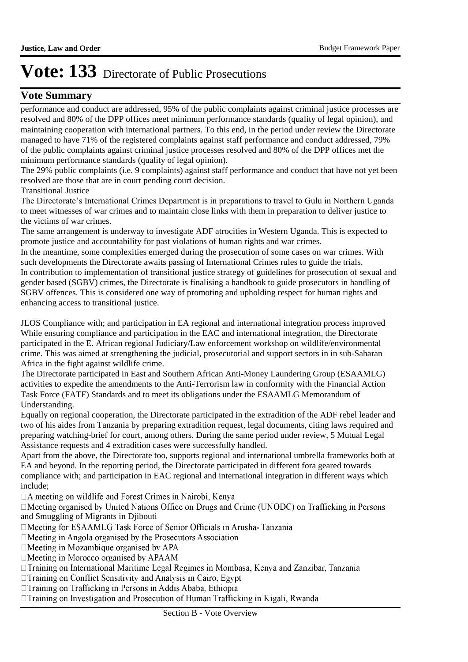### **Vote Summary**

performance and conduct are addressed, 95% of the public complaints against criminal justice processes are resolved and 80% of the DPP offices meet minimum performance standards (quality of legal opinion), and maintaining cooperation with international partners. To this end, in the period under review the Directorate managed to have 71% of the registered complaints against staff performance and conduct addressed, 79% of the public complaints against criminal justice processes resolved and 80% of the DPP offices met the minimum performance standards (quality of legal opinion).

The 29% public complaints (i.e. 9 complaints) against staff performance and conduct that have not yet been resolved are those that are in court pending court decision.

Transitional Justice

The Directorate's International Crimes Department is in preparations to travel to Gulu in Northern Uganda to meet witnesses of war crimes and to maintain close links with them in preparation to deliver justice to the victims of war crimes.

The same arrangement is underway to investigate ADF atrocities in Western Uganda. This is expected to promote justice and accountability for past violations of human rights and war crimes.

In the meantime, some complexities emerged during the prosecution of some cases on war crimes. With such developments the Directorate awaits passing of International Crimes rules to guide the trials. In contribution to implementation of transitional justice strategy of guidelines for prosecution of sexual and gender based (SGBV) crimes, the Directorate is finalising a handbook to guide prosecutors in handling of SGBV offences. This is considered one way of promoting and upholding respect for human rights and enhancing access to transitional justice.

JLOS Compliance with; and participation in EA regional and international integration process improved While ensuring compliance and participation in the EAC and international integration, the Directorate participated in the E. African regional Judiciary/Law enforcement workshop on wildlife/environmental crime. This was aimed at strengthening the judicial, prosecutorial and support sectors in in sub-Saharan Africa in the fight against wildlife crime.

The Directorate participated in East and Southern African Anti-Money Laundering Group (ESAAMLG) activities to expedite the amendments to the Anti-Terrorism law in conformity with the Financial Action Task Force (FATF) Standards and to meet its obligations under the ESAAMLG Memorandum of Understanding.

Equally on regional cooperation, the Directorate participated in the extradition of the ADF rebel leader and two of his aides from Tanzania by preparing extradition request, legal documents, citing laws required and preparing watching-brief for court, among others. During the same period under review, 5 Mutual Legal Assistance requests and 4 extradition cases were successfully handled.

Apart from the above, the Directorate too, supports regional and international umbrella frameworks both at EA and beyond. In the reporting period, the Directorate participated in different fora geared towards compliance with; and participation in EAC regional and international integration in different ways which include;

 $\Box A$  meeting on wildlife and Forest Crimes in Nairobi, Kenya

□Meeting organised by United Nations Office on Drugs and Crime (UNODC) on Trafficking in Persons and Smuggling of Migrants in Djibouti

□Meeting for ESAAMLG Task Force of Senior Officials in Arusha-Tanzania

 $\Box$  Meeting in Angola organised by the Prosecutors Association

 $\Box$ Meeting in Mozambique organised by APA

□ Meeting in Morocco organised by APAAM

□ Training on International Maritime Legal Regimes in Mombasa, Kenya and Zanzibar, Tanzania

 $\Box$ Training on Conflict Sensitivity and Analysis in Cairo, Egypt

□ Training on Trafficking in Persons in Addis Ababa, Ethiopia

□ Training on Investigation and Prosecution of Human Trafficking in Kigali, Rwanda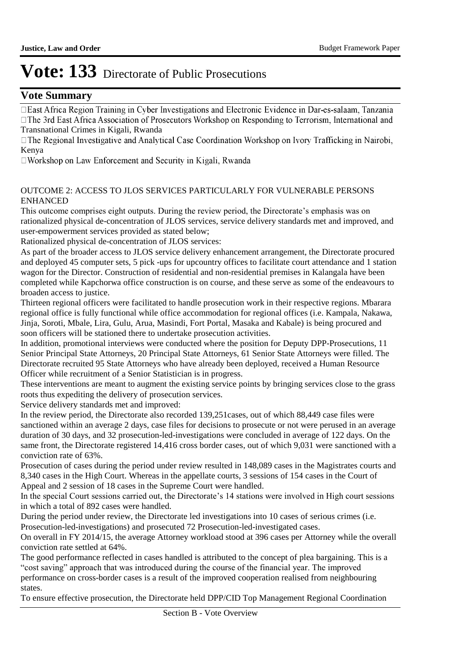### **Vote Summary**

□ East Africa Region Training in Cyber Investigations and Electronic Evidence in Dar-es-salaam, Tanzania □ The 3rd East Africa Association of Prosecutors Workshop on Responding to Terrorism, International and Transnational Crimes in Kigali, Rwanda<br>□ The Regional Investigative and Analytical Case Coordination Workshop on Ivory Trafficking in Nairobi,

Kenya<br>□Workshop on Law Enforcement and Security in Kigali, Rwanda

#### OUTCOME 2: ACCESS TO JLOS SERVICES PARTICULARLY FOR VULNERABLE PERSONS ENHANCED

This outcome comprises eight outputs. During the review period, the Directorate's emphasis was on rationalized physical de-concentration of JLOS services, service delivery standards met and improved, and user-empowerment services provided as stated below;

Rationalized physical de-concentration of JLOS services:

As part of the broader access to JLOS service delivery enhancement arrangement, the Directorate procured and deployed 45 computer sets, 5 pick -ups for upcountry offices to facilitate court attendance and 1 station wagon for the Director. Construction of residential and non-residential premises in Kalangala have been completed while Kapchorwa office construction is on course, and these serve as some of the endeavours to broaden access to justice.

Thirteen regional officers were facilitated to handle prosecution work in their respective regions. Mbarara regional office is fully functional while office accommodation for regional offices (i.e. Kampala, Nakawa, Jinja, Soroti, Mbale, Lira, Gulu, Arua, Masindi, Fort Portal, Masaka and Kabale) is being procured and soon officers will be stationed there to undertake prosecution activities.

In addition, promotional interviews were conducted where the position for Deputy DPP-Prosecutions, 11 Senior Principal State Attorneys, 20 Principal State Attorneys, 61 Senior State Attorneys were filled. The Directorate recruited 95 State Attorneys who have already been deployed, received a Human Resource Officer while recruitment of a Senior Statistician is in progress.

These interventions are meant to augment the existing service points by bringing services close to the grass roots thus expediting the delivery of prosecution services.

Service delivery standards met and improved:

In the review period, the Directorate also recorded 139,251cases, out of which 88,449 case files were sanctioned within an average 2 days, case files for decisions to prosecute or not were perused in an average duration of 30 days, and 32 prosecution-led-investigations were concluded in average of 122 days. On the same front, the Directorate registered 14,416 cross border cases, out of which 9,031 were sanctioned with a conviction rate of 63%.

Prosecution of cases during the period under review resulted in 148,089 cases in the Magistrates courts and 8,340 cases in the High Court. Whereas in the appellate courts, 3 sessions of 154 cases in the Court of Appeal and 2 session of 18 cases in the Supreme Court were handled.

In the special Court sessions carried out, the Directorate's 14 stations were involved in High court sessions in which a total of 892 cases were handled.

During the period under review, the Directorate led investigations into 10 cases of serious crimes (i.e. Prosecution-led-investigations) and prosecuted 72 Prosecution-led-investigated cases.

On overall in FY 2014/15, the average Attorney workload stood at 396 cases per Attorney while the overall conviction rate settled at 64%.

The good performance reflected in cases handled is attributed to the concept of plea bargaining. This is a "cost saving" approach that was introduced during the course of the financial year. The improved performance on cross-border cases is a result of the improved cooperation realised from neighbouring states.

To ensure effective prosecution, the Directorate held DPP/CID Top Management Regional Coordination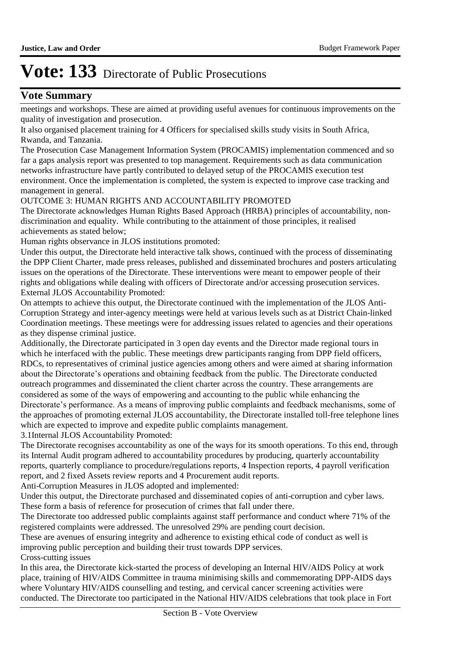### **Vote Summary**

meetings and workshops. These are aimed at providing useful avenues for continuous improvements on the quality of investigation and prosecution.

It also organised placement training for 4 Officers for specialised skills study visits in South Africa, Rwanda, and Tanzania.

The Prosecution Case Management Information System (PROCAMIS) implementation commenced and so far a gaps analysis report was presented to top management. Requirements such as data communication networks infrastructure have partly contributed to delayed setup of the PROCAMIS execution test environment. Once the implementation is completed, the system is expected to improve case tracking and management in general.

#### OUTCOME 3: HUMAN RIGHTS AND ACCOUNTABILITY PROMOTED

The Directorate acknowledges Human Rights Based Approach (HRBA) principles of accountability, nondiscrimination and equality. While contributing to the attainment of those principles, it realised achievements as stated below;

Human rights observance in JLOS institutions promoted:

Under this output, the Directorate held interactive talk shows, continued with the process of disseminating the DPP Client Charter, made press releases, published and disseminated brochures and posters articulating issues on the operations of the Directorate. These interventions were meant to empower people of their rights and obligations while dealing with officers of Directorate and/or accessing prosecution services. External JLOS Accountability Promoted:

On attempts to achieve this output, the Directorate continued with the implementation of the JLOS Anti-Corruption Strategy and inter-agency meetings were held at various levels such as at District Chain-linked Coordination meetings. These meetings were for addressing issues related to agencies and their operations as they dispense criminal justice.

Additionally, the Directorate participated in 3 open day events and the Director made regional tours in which he interfaced with the public. These meetings drew participants ranging from DPP field officers, RDCs, to representatives of criminal justice agencies among others and were aimed at sharing information about the Directorate's operations and obtaining feedback from the public. The Directorate conducted outreach programmes and disseminated the client charter across the country. These arrangements are considered as some of the ways of empowering and accounting to the public while enhancing the Directorate's performance. As a means of improving public complaints and feedback mechanisms, some of the approaches of promoting external JLOS accountability, the Directorate installed toll-free telephone lines which are expected to improve and expedite public complaints management.

3.1Internal JLOS Accountability Promoted:

The Directorate recognises accountability as one of the ways for its smooth operations. To this end, through its Internal Audit program adhered to accountability procedures by producing, quarterly accountability reports, quarterly compliance to procedure/regulations reports, 4 Inspection reports, 4 payroll verification report, and 2 fixed Assets review reports and 4 Procurement audit reports.

Anti-Corruption Measures in JLOS adopted and implemented:

Under this output, the Directorate purchased and disseminated copies of anti-corruption and cyber laws. These form a basis of reference for prosecution of crimes that fall under there.

The Directorate too addressed public complaints against staff performance and conduct where 71% of the registered complaints were addressed. The unresolved 29% are pending court decision.

These are avenues of ensuring integrity and adherence to existing ethical code of conduct as well is improving public perception and building their trust towards DPP services.

Cross-cutting issues

In this area, the Directorate kick-started the process of developing an Internal HIV/AIDS Policy at work place, training of HIV/AIDS Committee in trauma minimising skills and commemorating DPP-AIDS days where Voluntary HIV/AIDS counselling and testing, and cervical cancer screening activities were conducted. The Directorate too participated in the National HIV/AIDS celebrations that took place in Fort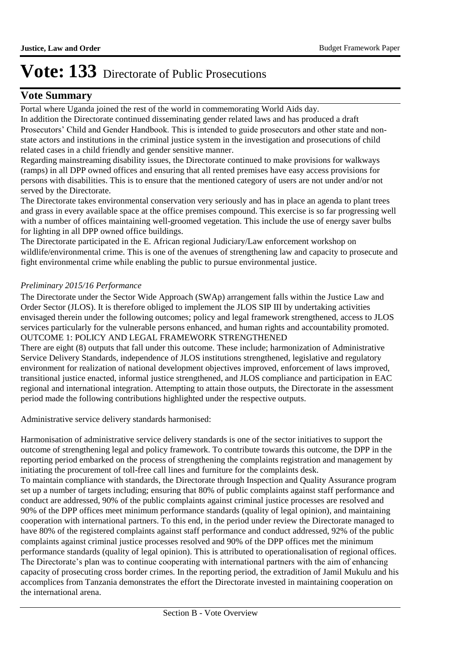### **Vote Summary**

Portal where Uganda joined the rest of the world in commemorating World Aids day.

In addition the Directorate continued disseminating gender related laws and has produced a draft Prosecutors' Child and Gender Handbook. This is intended to guide prosecutors and other state and nonstate actors and institutions in the criminal justice system in the investigation and prosecutions of child related cases in a child friendly and gender sensitive manner.

Regarding mainstreaming disability issues, the Directorate continued to make provisions for walkways (ramps) in all DPP owned offices and ensuring that all rented premises have easy access provisions for persons with disabilities. This is to ensure that the mentioned category of users are not under and/or not served by the Directorate.

The Directorate takes environmental conservation very seriously and has in place an agenda to plant trees and grass in every available space at the office premises compound. This exercise is so far progressing well with a number of offices maintaining well-groomed vegetation. This include the use of energy saver bulbs for lighting in all DPP owned office buildings.

The Directorate participated in the E. African regional Judiciary/Law enforcement workshop on wildlife/environmental crime. This is one of the avenues of strengthening law and capacity to prosecute and fight environmental crime while enabling the public to pursue environmental justice.

#### *Preliminary 2015/16 Performance*

The Directorate under the Sector Wide Approach (SWAp) arrangement falls within the Justice Law and Order Sector (JLOS). It is therefore obliged to implement the JLOS SIP III by undertaking activities envisaged therein under the following outcomes; policy and legal framework strengthened, access to JLOS services particularly for the vulnerable persons enhanced, and human rights and accountability promoted. OUTCOME 1: POLICY AND LEGAL FRAMEWORK STRENGTHENED

There are eight (8) outputs that fall under this outcome. These include; harmonization of Administrative Service Delivery Standards, independence of JLOS institutions strengthened, legislative and regulatory environment for realization of national development objectives improved, enforcement of laws improved, transitional justice enacted, informal justice strengthened, and JLOS compliance and participation in EAC regional and international integration. Attempting to attain those outputs, the Directorate in the assessment period made the following contributions highlighted under the respective outputs.

Administrative service delivery standards harmonised:

Harmonisation of administrative service delivery standards is one of the sector initiatives to support the outcome of strengthening legal and policy framework. To contribute towards this outcome, the DPP in the reporting period embarked on the process of strengthening the complaints registration and management by initiating the procurement of toll-free call lines and furniture for the complaints desk.

To maintain compliance with standards, the Directorate through Inspection and Quality Assurance program set up a number of targets including; ensuring that 80% of public complaints against staff performance and conduct are addressed, 90% of the public complaints against criminal justice processes are resolved and 90% of the DPP offices meet minimum performance standards (quality of legal opinion), and maintaining cooperation with international partners. To this end, in the period under review the Directorate managed to have 80% of the registered complaints against staff performance and conduct addressed, 92% of the public complaints against criminal justice processes resolved and 90% of the DPP offices met the minimum performance standards (quality of legal opinion). This is attributed to operationalisation of regional offices. The Directorate's plan was to continue cooperating with international partners with the aim of enhancing capacity of prosecuting cross border crimes. In the reporting period, the extradition of Jamil Mukulu and his accomplices from Tanzania demonstrates the effort the Directorate invested in maintaining cooperation on the international arena.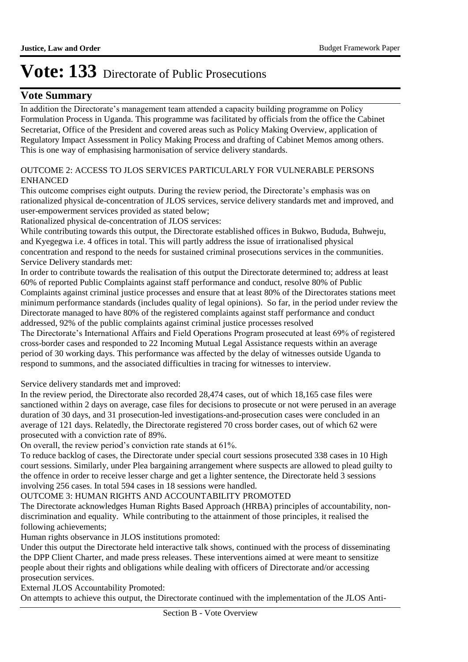### **Vote Summary**

In addition the Directorate's management team attended a capacity building programme on Policy Formulation Process in Uganda. This programme was facilitated by officials from the office the Cabinet Secretariat, Office of the President and covered areas such as Policy Making Overview, application of Regulatory Impact Assessment in Policy Making Process and drafting of Cabinet Memos among others. This is one way of emphasising harmonisation of service delivery standards.

#### OUTCOME 2: ACCESS TO JLOS SERVICES PARTICULARLY FOR VULNERABLE PERSONS ENHANCED

This outcome comprises eight outputs. During the review period, the Directorate's emphasis was on rationalized physical de-concentration of JLOS services, service delivery standards met and improved, and user-empowerment services provided as stated below;

Rationalized physical de-concentration of JLOS services:

While contributing towards this output, the Directorate established offices in Bukwo, Bududa, Buhweju, and Kyegegwa i.e. 4 offices in total. This will partly address the issue of irrationalised physical concentration and respond to the needs for sustained criminal prosecutions services in the communities. Service Delivery standards met:

In order to contribute towards the realisation of this output the Directorate determined to; address at least 60% of reported Public Complaints against staff performance and conduct, resolve 80% of Public Complaints against criminal justice processes and ensure that at least 80% of the Directorates stations meet minimum performance standards (includes quality of legal opinions). So far, in the period under review the Directorate managed to have 80% of the registered complaints against staff performance and conduct addressed, 92% of the public complaints against criminal justice processes resolved

The Directorate's International Affairs and Field Operations Program prosecuted at least 69% of registered cross-border cases and responded to 22 Incoming Mutual Legal Assistance requests within an average period of 30 working days. This performance was affected by the delay of witnesses outside Uganda to respond to summons, and the associated difficulties in tracing for witnesses to interview.

Service delivery standards met and improved:

In the review period, the Directorate also recorded 28,474 cases, out of which 18,165 case files were sanctioned within 2 days on average, case files for decisions to prosecute or not were perused in an average duration of 30 days, and 31 prosecution-led investigations-and-prosecution cases were concluded in an average of 121 days. Relatedly, the Directorate registered 70 cross border cases, out of which 62 were prosecuted with a conviction rate of 89%.

On overall, the review period's conviction rate stands at 61%.

To reduce backlog of cases, the Directorate under special court sessions prosecuted 338 cases in 10 High court sessions. Similarly, under Plea bargaining arrangement where suspects are allowed to plead guilty to the offence in order to receive lesser charge and get a lighter sentence, the Directorate held 3 sessions involving 256 cases. In total 594 cases in 18 sessions were handled.

#### OUTCOME 3: HUMAN RIGHTS AND ACCOUNTABILITY PROMOTED

The Directorate acknowledges Human Rights Based Approach (HRBA) principles of accountability, nondiscrimination and equality. While contributing to the attainment of those principles, it realised the following achievements;

Human rights observance in JLOS institutions promoted:

Under this output the Directorate held interactive talk shows, continued with the process of disseminating the DPP Client Charter, and made press releases. These interventions aimed at were meant to sensitize people about their rights and obligations while dealing with officers of Directorate and/or accessing prosecution services.

External JLOS Accountability Promoted:

On attempts to achieve this output, the Directorate continued with the implementation of the JLOS Anti-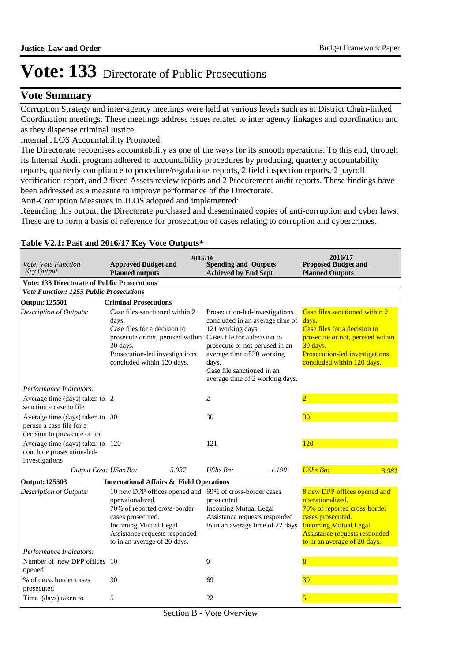### **Vote Summary**

Corruption Strategy and inter-agency meetings were held at various levels such as at District Chain-linked Coordination meetings. These meetings address issues related to inter agency linkages and coordination and as they dispense criminal justice.

Internal JLOS Accountability Promoted:

The Directorate recognises accountability as one of the ways for its smooth operations. To this end, through its Internal Audit program adhered to accountability procedures by producing, quarterly accountability reports, quarterly compliance to procedure/regulations reports, 2 field inspection reports, 2 payroll verification report, and 2 fixed Assets review reports and 2 Procurement audit reports. These findings have been addressed as a measure to improve performance of the Directorate.

Anti-Corruption Measures in JLOS adopted and implemented:

Regarding this output, the Directorate purchased and disseminated copies of anti-corruption and cyber laws. These are to form a basis of reference for prosecution of cases relating to corruption and cybercrimes.

| <i>Vote, Vote Function</i><br><b>Key Output</b>                                             | <b>Approved Budget and</b><br><b>Planned outputs</b>                                                                                                                                                                              | 2015/16 | <b>Spending and Outputs</b><br><b>Achieved by End Sept</b>                                                                                                                                                                                                                                        |       | 2016/17<br><b>Proposed Budget and</b><br><b>Planned Outputs</b>                                                                                                                                               |       |
|---------------------------------------------------------------------------------------------|-----------------------------------------------------------------------------------------------------------------------------------------------------------------------------------------------------------------------------------|---------|---------------------------------------------------------------------------------------------------------------------------------------------------------------------------------------------------------------------------------------------------------------------------------------------------|-------|---------------------------------------------------------------------------------------------------------------------------------------------------------------------------------------------------------------|-------|
| <b>Vote: 133 Directorate of Public Prosecutions</b>                                         |                                                                                                                                                                                                                                   |         |                                                                                                                                                                                                                                                                                                   |       |                                                                                                                                                                                                               |       |
| <b>Vote Function: 1255 Public Prosecutions</b>                                              |                                                                                                                                                                                                                                   |         |                                                                                                                                                                                                                                                                                                   |       |                                                                                                                                                                                                               |       |
| <b>Output: 125501</b>                                                                       | <b>Criminal Prosecutions</b>                                                                                                                                                                                                      |         |                                                                                                                                                                                                                                                                                                   |       |                                                                                                                                                                                                               |       |
| Description of Outputs:                                                                     | Case files sanctioned within 2<br>days.<br>Case files for a decision to<br>30 days.<br>Prosecution-led investigations<br>concluded within 120 days.                                                                               |         | Prosecution-led-investigations<br>concluded in an average time of<br>121 working days.<br>prosecute or not, perused within Cases file for a decision to<br>prosecute or not perused in an<br>average time of 30 working<br>days.<br>Case file sanctioned in an<br>average time of 2 working days. |       | Case files sanctioned within 2<br>days.<br>Case files for a decision to<br>prosecute or not, perused within<br>30 days.<br>Prosecution-led investigations<br>concluded within 120 days.                       |       |
| Performance Indicators:                                                                     |                                                                                                                                                                                                                                   |         |                                                                                                                                                                                                                                                                                                   |       |                                                                                                                                                                                                               |       |
| Average time (days) taken to 2<br>sanction a case to file                                   |                                                                                                                                                                                                                                   |         | 2                                                                                                                                                                                                                                                                                                 |       | $\overline{2}$                                                                                                                                                                                                |       |
| Average time (days) taken to 30<br>peruse a case file for a<br>decision to prosecute or not |                                                                                                                                                                                                                                   |         | 30                                                                                                                                                                                                                                                                                                |       | 30                                                                                                                                                                                                            |       |
| Average time (days) taken to 120<br>conclude prosecution-led-<br>investigations             |                                                                                                                                                                                                                                   |         | 121                                                                                                                                                                                                                                                                                               |       | 120                                                                                                                                                                                                           |       |
| Output Cost: UShs Bn:                                                                       |                                                                                                                                                                                                                                   | 5.037   | UShs $Bn$ :                                                                                                                                                                                                                                                                                       | 1.190 | <b>UShs Bn:</b>                                                                                                                                                                                               | 3.981 |
| <b>Output: 125503</b>                                                                       | <b>International Affairs &amp; Field Operations</b>                                                                                                                                                                               |         |                                                                                                                                                                                                                                                                                                   |       |                                                                                                                                                                                                               |       |
| Description of Outputs:                                                                     | 10 new DPP offices opened and 69% of cross-border cases<br>operationalized.<br>70% of reported cross-border<br>cases prosecuted.<br><b>Incoming Mutual Legal</b><br>Assistance requests responded<br>to in an average of 20 days. |         | prosecuted<br><b>Incoming Mutual Legal</b><br>Assistance requests responded<br>to in an average time of 22 days                                                                                                                                                                                   |       | 8 new DPP offices opened and<br>operationalized.<br>70% of reported cross-border<br>cases prosecuted.<br><b>Incoming Mutual Legal</b><br><b>Assistance requests responded</b><br>to in an average of 20 days. |       |
| Performance Indicators:                                                                     |                                                                                                                                                                                                                                   |         |                                                                                                                                                                                                                                                                                                   |       |                                                                                                                                                                                                               |       |
| Number of new DPP offices 10<br>opened                                                      |                                                                                                                                                                                                                                   |         | $\Omega$                                                                                                                                                                                                                                                                                          |       | $\overline{8}$                                                                                                                                                                                                |       |
| % of cross border cases<br>prosecuted                                                       | 30                                                                                                                                                                                                                                |         | 69                                                                                                                                                                                                                                                                                                |       | 30                                                                                                                                                                                                            |       |
| Time (days) taken to                                                                        | 5                                                                                                                                                                                                                                 |         | 22                                                                                                                                                                                                                                                                                                |       | 5                                                                                                                                                                                                             |       |

#### **Table V2.1: Past and 2016/17 Key Vote Outputs\***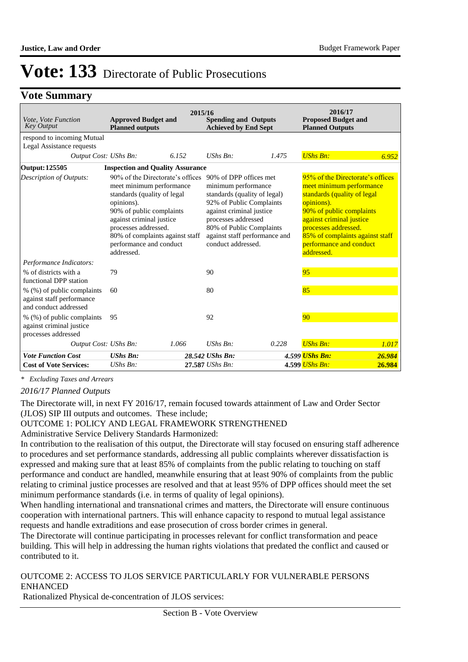### **Vote Summary**

| Vote, Vote Function<br><b>Key Output</b>                                         | <b>Approved Budget and</b><br><b>Planned outputs</b>                                                                                                                                                                                                                  | 2015/16 | <b>Spending and Outputs</b><br><b>Achieved by End Sept</b>                                                                                                                                                                                      |       | 2016/17<br><b>Proposed Budget and</b><br><b>Planned Outputs</b>                                                                                                                                                                                                       |        |
|----------------------------------------------------------------------------------|-----------------------------------------------------------------------------------------------------------------------------------------------------------------------------------------------------------------------------------------------------------------------|---------|-------------------------------------------------------------------------------------------------------------------------------------------------------------------------------------------------------------------------------------------------|-------|-----------------------------------------------------------------------------------------------------------------------------------------------------------------------------------------------------------------------------------------------------------------------|--------|
| respond to incoming Mutual<br>Legal Assistance requests                          |                                                                                                                                                                                                                                                                       |         |                                                                                                                                                                                                                                                 |       |                                                                                                                                                                                                                                                                       |        |
| Output Cost: UShs Bn:                                                            |                                                                                                                                                                                                                                                                       | 6.152   | $UShs Bn$ :                                                                                                                                                                                                                                     | 1.475 | <b>UShs Bn:</b>                                                                                                                                                                                                                                                       | 6.952  |
| Output: 125505                                                                   | <b>Inspection and Quality Assurance</b>                                                                                                                                                                                                                               |         |                                                                                                                                                                                                                                                 |       |                                                                                                                                                                                                                                                                       |        |
| <b>Description of Outputs:</b>                                                   | 90% of the Directorate's offices<br>meet minimum performance<br>standards (quality of legal<br>opinions).<br>90% of public complaints<br>against criminal justice<br>processes addressed.<br>80% of complaints against staff<br>performance and conduct<br>addressed. |         | 90% of DPP offices met<br>minimum performance<br>standards (quality of legal)<br>92% of Public Complaints<br>against criminal justice<br>processes addressed<br>80% of Public Complaints<br>against staff performance and<br>conduct addressed. |       | 95% of the Directorate's offices<br>meet minimum performance<br>standards (quality of legal<br>opinions).<br>90% of public complaints<br>against criminal justice<br>processes addressed.<br>85% of complaints against staff<br>performance and conduct<br>addressed. |        |
| Performance Indicators:                                                          |                                                                                                                                                                                                                                                                       |         |                                                                                                                                                                                                                                                 |       |                                                                                                                                                                                                                                                                       |        |
| % of districts with a<br>functional DPP station                                  | 79                                                                                                                                                                                                                                                                    |         | 90                                                                                                                                                                                                                                              |       | 95                                                                                                                                                                                                                                                                    |        |
| % (%) of public complaints<br>against staff performance<br>and conduct addressed | 60                                                                                                                                                                                                                                                                    |         | 80                                                                                                                                                                                                                                              |       | 85                                                                                                                                                                                                                                                                    |        |
| % (%) of public complaints<br>against criminal justice<br>processes addressed    | 95                                                                                                                                                                                                                                                                    |         | 92                                                                                                                                                                                                                                              |       | 90                                                                                                                                                                                                                                                                    |        |
| Output Cost: UShs Bn:                                                            |                                                                                                                                                                                                                                                                       | 1.066   | $UShs Bn$ :                                                                                                                                                                                                                                     | 0.228 | <b>UShs Bn:</b>                                                                                                                                                                                                                                                       | 1.017  |
| <b>Vote Function Cost</b>                                                        | <b>UShs Bn:</b>                                                                                                                                                                                                                                                       |         | 28.542 UShs Bn:                                                                                                                                                                                                                                 |       | 4.599 UShs Bn:                                                                                                                                                                                                                                                        | 26.984 |
| <b>Cost of Vote Services:</b>                                                    | $UShs Bn$ :                                                                                                                                                                                                                                                           |         | 27.587 UShs Bn:                                                                                                                                                                                                                                 |       | 4.599 UShs Bn:                                                                                                                                                                                                                                                        | 26.984 |

*\* Excluding Taxes and Arrears*

*2016/17 Planned Outputs*

The Directorate will, in next FY 2016/17, remain focused towards attainment of Law and Order Sector (JLOS) SIP III outputs and outcomes. These include;

#### OUTCOME 1: POLICY AND LEGAL FRAMEWORK STRENGTHENED

Administrative Service Delivery Standards Harmonized:

In contribution to the realisation of this output, the Directorate will stay focused on ensuring staff adherence to procedures and set performance standards, addressing all public complaints wherever dissatisfaction is expressed and making sure that at least 85% of complaints from the public relating to touching on staff performance and conduct are handled, meanwhile ensuring that at least 90% of complaints from the public relating to criminal justice processes are resolved and that at least 95% of DPP offices should meet the set minimum performance standards (i.e. in terms of quality of legal opinions).

When handling international and transnational crimes and matters, the Directorate will ensure continuous cooperation with international partners. This will enhance capacity to respond to mutual legal assistance requests and handle extraditions and ease prosecution of cross border crimes in general.

The Directorate will continue participating in processes relevant for conflict transformation and peace building. This will help in addressing the human rights violations that predated the conflict and caused or contributed to it.

#### OUTCOME 2: ACCESS TO JLOS SERVICE PARTICULARLY FOR VULNERABLE PERSONS ENHANCED

Rationalized Physical de-concentration of JLOS services: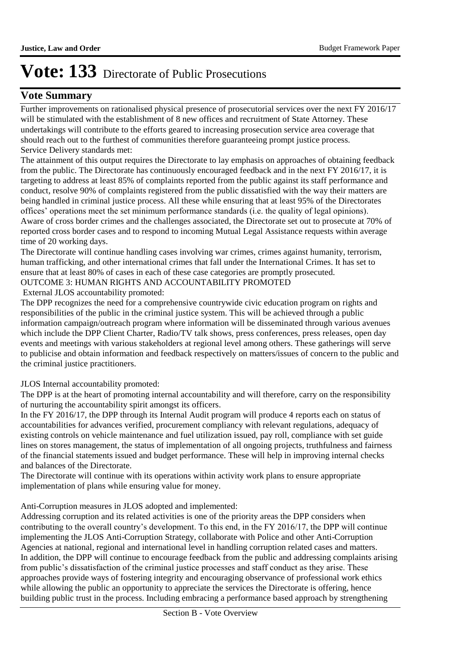### **Vote Summary**

Further improvements on rationalised physical presence of prosecutorial services over the next FY 2016/17 will be stimulated with the establishment of 8 new offices and recruitment of State Attorney. These undertakings will contribute to the efforts geared to increasing prosecution service area coverage that should reach out to the furthest of communities therefore guaranteeing prompt justice process. Service Delivery standards met:

The attainment of this output requires the Directorate to lay emphasis on approaches of obtaining feedback from the public. The Directorate has continuously encouraged feedback and in the next FY 2016/17, it is targeting to address at least 85% of complaints reported from the public against its staff performance and conduct, resolve 90% of complaints registered from the public dissatisfied with the way their matters are being handled in criminal justice process. All these while ensuring that at least 95% of the Directorates offices' operations meet the set minimum performance standards (i.e. the quality of legal opinions). Aware of cross border crimes and the challenges associated, the Directorate set out to prosecute at 70% of reported cross border cases and to respond to incoming Mutual Legal Assistance requests within average time of 20 working days.

The Directorate will continue handling cases involving war crimes, crimes against humanity, terrorism, human trafficking, and other international crimes that fall under the International Crimes. It has set to ensure that at least 80% of cases in each of these case categories are promptly prosecuted. OUTCOME 3: HUMAN RIGHTS AND ACCOUNTABILITY PROMOTED

# External JLOS accountability promoted:

The DPP recognizes the need for a comprehensive countrywide civic education program on rights and responsibilities of the public in the criminal justice system. This will be achieved through a public information campaign/outreach program where information will be disseminated through various avenues which include the DPP Client Charter, Radio/TV talk shows, press conferences, press releases, open day events and meetings with various stakeholders at regional level among others. These gatherings will serve to publicise and obtain information and feedback respectively on matters/issues of concern to the public and the criminal justice practitioners.

#### JLOS Internal accountability promoted:

The DPP is at the heart of promoting internal accountability and will therefore, carry on the responsibility of nurturing the accountability spirit amongst its officers.

In the FY 2016/17, the DPP through its Internal Audit program will produce 4 reports each on status of accountabilities for advances verified, procurement compliancy with relevant regulations, adequacy of existing controls on vehicle maintenance and fuel utilization issued, pay roll, compliance with set guide lines on stores management, the status of implementation of all ongoing projects, truthfulness and fairness of the financial statements issued and budget performance. These will help in improving internal checks and balances of the Directorate.

The Directorate will continue with its operations within activity work plans to ensure appropriate implementation of plans while ensuring value for money.

#### Anti-Corruption measures in JLOS adopted and implemented:

Addressing corruption and its related activities is one of the priority areas the DPP considers when contributing to the overall country's development. To this end, in the FY 2016/17, the DPP will continue implementing the JLOS Anti-Corruption Strategy, collaborate with Police and other Anti-Corruption Agencies at national, regional and international level in handling corruption related cases and matters. In addition, the DPP will continue to encourage feedback from the public and addressing complaints arising from public's dissatisfaction of the criminal justice processes and staff conduct as they arise. These approaches provide ways of fostering integrity and encouraging observance of professional work ethics while allowing the public an opportunity to appreciate the services the Directorate is offering, hence building public trust in the process. Including embracing a performance based approach by strengthening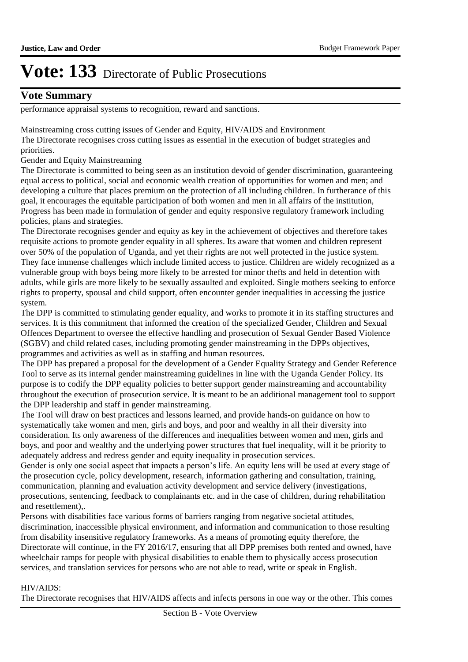### **Vote Summary**

performance appraisal systems to recognition, reward and sanctions.

Mainstreaming cross cutting issues of Gender and Equity, HIV/AIDS and Environment The Directorate recognises cross cutting issues as essential in the execution of budget strategies and priorities.

Gender and Equity Mainstreaming

The Directorate is committed to being seen as an institution devoid of gender discrimination, guaranteeing equal access to political, social and economic wealth creation of opportunities for women and men; and developing a culture that places premium on the protection of all including children. In furtherance of this goal, it encourages the equitable participation of both women and men in all affairs of the institution, Progress has been made in formulation of gender and equity responsive regulatory framework including policies, plans and strategies.

The Directorate recognises gender and equity as key in the achievement of objectives and therefore takes requisite actions to promote gender equality in all spheres. Its aware that women and children represent over 50% of the population of Uganda, and yet their rights are not well protected in the justice system. They face immense challenges which include limited access to justice. Children are widely recognized as a vulnerable group with boys being more likely to be arrested for minor thefts and held in detention with adults, while girls are more likely to be sexually assaulted and exploited. Single mothers seeking to enforce rights to property, spousal and child support, often encounter gender inequalities in accessing the justice system.

The DPP is committed to stimulating gender equality, and works to promote it in its staffing structures and services. It is this commitment that informed the creation of the specialized Gender, Children and Sexual Offences Department to oversee the effective handling and prosecution of Sexual Gender Based Violence (SGBV) and child related cases, including promoting gender mainstreaming in the DPPs objectives, programmes and activities as well as in staffing and human resources.

The DPP has prepared a proposal for the development of a Gender Equality Strategy and Gender Reference Tool to serve as its internal gender mainstreaming guidelines in line with the Uganda Gender Policy. Its purpose is to codify the DPP equality policies to better support gender mainstreaming and accountability throughout the execution of prosecution service. It is meant to be an additional management tool to support the DPP leadership and staff in gender mainstreaming.

The Tool will draw on best practices and lessons learned, and provide hands-on guidance on how to systematically take women and men, girls and boys, and poor and wealthy in all their diversity into consideration. Its only awareness of the differences and inequalities between women and men, girls and boys, and poor and wealthy and the underlying power structures that fuel inequality, will it be priority to adequately address and redress gender and equity inequality in prosecution services.

Gender is only one social aspect that impacts a person's life. An equity lens will be used at every stage of the prosecution cycle, policy development, research, information gathering and consultation, training, communication, planning and evaluation activity development and service delivery (investigations, prosecutions, sentencing, feedback to complainants etc. and in the case of children, during rehabilitation and resettlement),.

Persons with disabilities face various forms of barriers ranging from negative societal attitudes, discrimination, inaccessible physical environment, and information and communication to those resulting from disability insensitive regulatory frameworks. As a means of promoting equity therefore, the Directorate will continue, in the FY 2016/17, ensuring that all DPP premises both rented and owned, have wheelchair ramps for people with physical disabilities to enable them to physically access prosecution services, and translation services for persons who are not able to read, write or speak in English.

#### HIV/AIDS:

The Directorate recognises that HIV/AIDS affects and infects persons in one way or the other. This comes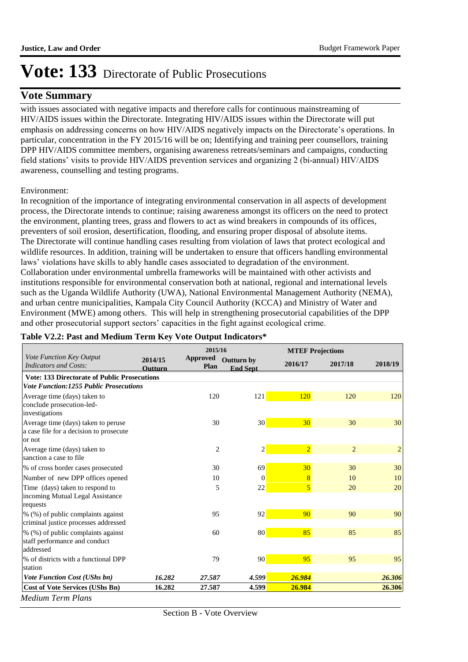### **Vote Summary**

with issues associated with negative impacts and therefore calls for continuous mainstreaming of HIV/AIDS issues within the Directorate. Integrating HIV/AIDS issues within the Directorate will put emphasis on addressing concerns on how HIV/AIDS negatively impacts on the Directorate's operations. In particular, concentration in the FY 2015/16 will be on; Identifying and training peer counsellors, training DPP HIV/AIDS committee members, organising awareness retreats/seminars and campaigns, conducting field stations' visits to provide HIV/AIDS prevention services and organizing 2 (bi-annual) HIV/AIDS awareness, counselling and testing programs.

#### Environment:

In recognition of the importance of integrating environmental conservation in all aspects of development process, the Directorate intends to continue; raising awareness amongst its officers on the need to protect the environment, planting trees, grass and flowers to act as wind breakers in compounds of its offices, preventers of soil erosion, desertification, flooding, and ensuring proper disposal of absolute items. The Directorate will continue handling cases resulting from violation of laws that protect ecological and wildlife resources. In addition, training will be undertaken to ensure that officers handling environmental laws' violations have skills to ably handle cases associated to degradation of the environment. Collaboration under environmental umbrella frameworks will be maintained with other activists and institutions responsible for environmental conservation both at national, regional and international levels such as the Uganda Wildlife Authority (UWA), National Environmental Management Authority (NEMA), and urban centre municipalities, Kampala City Council Authority (KCCA) and Ministry of Water and Environment (MWE) among others. This will help in strengthening prosecutorial capabilities of the DPP and other prosecutorial support sectors' capacities in the fight against ecological crime.

|                                                                                          |                           | 2015/16                 |                                      |                 | <b>MTEF Projections</b> |                |
|------------------------------------------------------------------------------------------|---------------------------|-------------------------|--------------------------------------|-----------------|-------------------------|----------------|
| Vote Function Key Output<br><b>Indicators and Costs:</b>                                 | 2014/15<br><b>Outturn</b> | <b>Approved</b><br>Plan | <b>Outturn by</b><br><b>End Sept</b> | 2016/17         | 2017/18                 | 2018/19        |
| <b>Vote: 133 Directorate of Public Prosecutions</b>                                      |                           |                         |                                      |                 |                         |                |
| <b>Vote Function:1255 Public Prosecutions</b>                                            |                           |                         |                                      |                 |                         |                |
| Average time (days) taken to<br>conclude prosecution-led-<br>investigations              |                           | 120                     | 121                                  | 120             | 120                     | 120            |
| Average time (days) taken to peruse<br>a case file for a decision to prosecute<br>or not |                           | 30                      | 30 <sup>1</sup>                      | 30 <sup>°</sup> | 30                      | 30             |
| Average time (days) taken to<br>sanction a case to file                                  |                           | $\overline{c}$          | $\overline{c}$                       | $\overline{2}$  | 2                       | $\overline{2}$ |
| % of cross border cases prosecuted                                                       |                           | 30                      | 69                                   | 30              | 30                      | 30             |
| Number of new DPP offices opened                                                         |                           | 10                      | $\theta$                             | 8               | 10                      | 10             |
| Time (days) taken to respond to<br>incoming Mutual Legal Assistance<br>requests          |                           | 5                       | 22                                   | $\overline{5}$  | 20                      | 20             |
| % (%) of public complaints against<br>criminal justice processes addressed               |                           | 95                      | 92                                   | 90              | 90                      | 90             |
| % (%) of public complaints against<br>staff performance and conduct<br>addressed         |                           | 60                      | 80                                   | 85              | 85                      | 85             |
| % of districts with a functional DPP<br>station                                          |                           | 79                      | 90                                   | 95              | 95                      | 95             |
| <b>Vote Function Cost (UShs bn)</b>                                                      | 16.282                    | 27.587                  | 4.599                                | 26.984          |                         | 26.306         |
| <b>Cost of Vote Services (UShs Bn)</b>                                                   | 16.282                    | 27.587                  | 4.599                                | 26.984          |                         | 26.306         |

#### **Table V2.2: Past and Medium Term Key Vote Output Indicators\***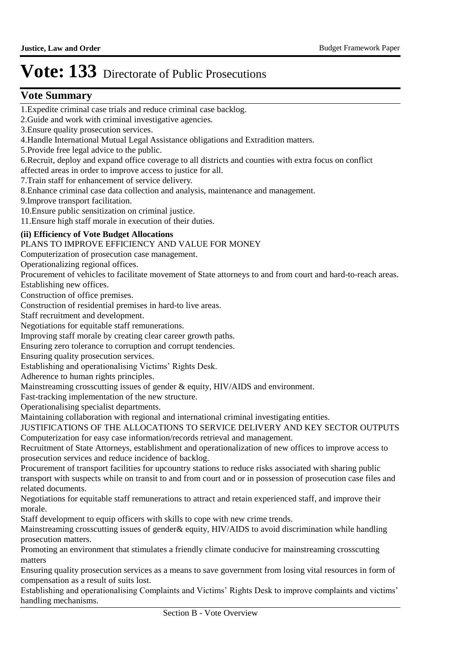### $V$ ote Summary

1. Expedite criminal case trials and reduce criminal case backlog.

2. Guide and work with criminal investigative agencies.

3. Ensure quality prosecution services.

4. Handle International Mutual Legal Assistance obligations and Extradition matters.

5. Provide free legal advice to the public.

6. Recruit, deploy and expand office coverage to all districts and counties with extra focus on conflict affected areas in order to improve access to justice for all.

7. Train staff for enhancement of service delivery.

8. Enhance criminal case data collection and analysis, maintenance and management.

9. Improve transport facilitation.

10. Ensure public sensitization on criminal justice.

11. Ensure high staff morale in execution of their duties.

#### **(ii) Efficiency of Vote Budget Allocations**

PLANS TO IMPROVE EFFICIENCY AND VALUE FOR MONEY

Computerization of prosecution case management.

Operationalizing regional offices.

Procurement of vehicles to facilitate movement of State attorneys to and from court and hard-to-reach areas.

Establishing new offices.

Construction of office premises.

Construction of residential premises in hard-to live areas.

Staff recruitment and development.

Negotiations for equitable staff remunerations.

Improving staff morale by creating clear career growth paths.

Ensuring zero tolerance to corruption and corrupt tendencies.

Ensuring quality prosecution services.

Establishing and operationalising Victims' Rights Desk.

Adherence to human rights principles.

Mainstreaming crosscutting issues of gender & equity, HIV/AIDS and environment.

Fast-tracking implementation of the new structure.

Operationalising specialist departments.

Maintaining collaboration with regional and international criminal investigating entities.

JUSTIFICATIONS OF THE ALLOCATIONS TO SERVICE DELIVERY AND KEY SECTOR OUTPUTS Computerization for easy case information/records retrieval and management.

Recruitment of State Attorneys, establishment and operationalization of new offices to improve access to prosecution services and reduce incidence of backlog.

Procurement of transport facilities for upcountry stations to reduce risks associated with sharing public transport with suspects while on transit to and from court and or in possession of prosecution case files and related documents.

Negotiations for equitable staff remunerations to attract and retain experienced staff, and improve their morale.

Staff development to equip officers with skills to cope with new crime trends.

Mainstreaming crosscutting issues of gender & equity, HIV/AIDS to avoid discrimination while handling prosecution matters.

Promoting an environment that stimulates a friendly climate conducive for mainstreaming crosscutting matters

Ensuring quality prosecution services as a means to save government from losing vital resources in form of compensation as a result of suits lost.

Establishing and operationalising Complaints and Victims' Rights Desk to improve complaints and victims' handling mechanisms.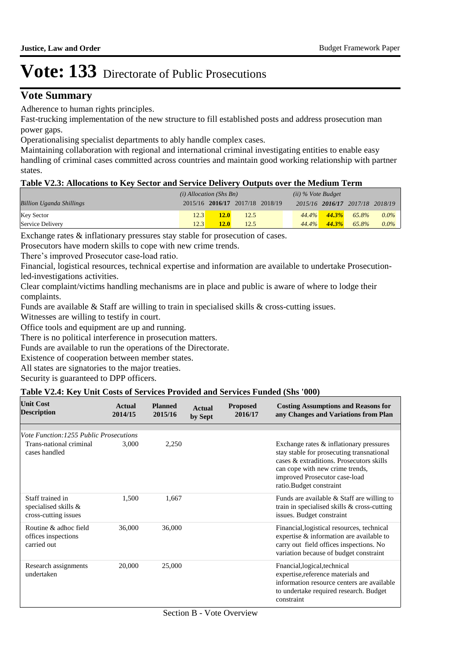### **Vote Summary**

Adherence to human rights principles.

Fast-trucking implementation of the new structure to fill established posts and address prosecution man power gaps.

Operationalising specialist departments to ably handle complex cases.

Maintaining collaboration with regional and international criminal investigating entities to enable easy handling of criminal cases committed across countries and maintain good working relationship with partner states.

#### **Table V2.3: Allocations to Key Sector and Service Delivery Outputs over the Medium Term**

|                                 | $(i)$ Allocation (Shs Bn) |                                 |      | $(ii)$ % Vote Budget |          |                   |                                 |         |
|---------------------------------|---------------------------|---------------------------------|------|----------------------|----------|-------------------|---------------------------------|---------|
| <b>Billion Uganda Shillings</b> |                           | 2015/16 2016/17 2017/18 2018/19 |      |                      |          |                   | 2015/16 2016/17 2017/18 2018/19 |         |
| <b>Key Sector</b>               | 12.3                      | 12.0                            | 12.5 |                      |          | $44.4\%$ $44.3\%$ | 65.8%                           | $0.0\%$ |
| Service Delivery                | 12.3                      | 12.0                            | 12.5 |                      | $44.4\%$ | $44.3\%$          | 65.8%                           | $0.0\%$ |

Exchange rates & inflationary pressures stay stable for prosecution of cases.

Prosecutors have modern skills to cope with new crime trends.

There's improved Prosecutor case-load ratio.

Financial, logistical resources, technical expertise and information are available to undertake Prosecutionled-investigations activities.

Clear complaint/victims handling mechanisms are in place and public is aware of where to lodge their complaints.

Funds are available & Staff are willing to train in specialised skills & cross-cutting issues.

Witnesses are willing to testify in court.

Office tools and equipment are up and running.

There is no political interference in prosecution matters.

Funds are available to run the operations of the Directorate.

Existence of cooperation between member states.

All states are signatories to the major treaties.

Security is guaranteed to DPP officers.

#### **Table V2.4: Key Unit Costs of Services Provided and Services Funded (Shs '000)**

| <b>Unit Cost</b><br><b>Description</b>                                              | Actual<br>2014/15 | <b>Planned</b><br>2015/16 | Actual<br>by Sept | <b>Proposed</b><br>2016/17 | <b>Costing Assumptions and Reasons for</b><br>any Changes and Variations from Plan                                                                                                                                              |
|-------------------------------------------------------------------------------------|-------------------|---------------------------|-------------------|----------------------------|---------------------------------------------------------------------------------------------------------------------------------------------------------------------------------------------------------------------------------|
|                                                                                     |                   |                           |                   |                            |                                                                                                                                                                                                                                 |
| Vote Function: 1255 Public Prosecutions<br>Trans-national criminal<br>cases handled | 3,000             | 2,250                     |                   |                            | Exchange rates & inflationary pressures<br>stay stable for prosecuting transnational<br>cases & extraditions. Prosecutors skills<br>can cope with new crime trends,<br>improved Prosecutor case-load<br>ratio.Budget constraint |
| Staff trained in<br>specialised skills &<br>cross-cutting issues                    | 1,500             | 1,667                     |                   |                            | Funds are available $&$ Staff are willing to<br>train in specialised skills & cross-cutting<br>issues. Budget constraint                                                                                                        |
| Routine & adhoc field<br>offices inspections<br>carried out                         | 36,000            | 36,000                    |                   |                            | Financial, logistical resources, technical<br>expertise & information are available to<br>carry out field offices inspections. No<br>variation because of budget constraint                                                     |
| Research assignments<br>undertaken                                                  | 20,000            | 25,000                    |                   |                            | Fnancial, logical, technical<br>expertise, reference materials and<br>information resource centers are available<br>to undertake required research. Budget<br>constraint                                                        |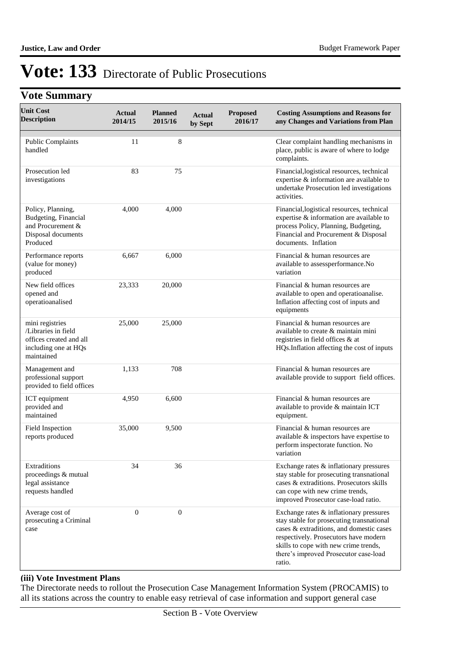# **Vote Summary**

| <b>Unit Cost</b><br><b>Description</b>                                                                  | <b>Actual</b><br>2014/15 | <b>Planned</b><br>2015/16 | <b>Actual</b><br>by Sept | <b>Proposed</b><br>2016/17 | <b>Costing Assumptions and Reasons for</b><br>any Changes and Variations from Plan                                                                                                                                                                                    |
|---------------------------------------------------------------------------------------------------------|--------------------------|---------------------------|--------------------------|----------------------------|-----------------------------------------------------------------------------------------------------------------------------------------------------------------------------------------------------------------------------------------------------------------------|
| <b>Public Complaints</b><br>handled                                                                     | 11                       | 8                         |                          |                            | Clear complaint handling mechanisms in<br>place, public is aware of where to lodge<br>complaints.                                                                                                                                                                     |
| Prosecution led<br>investigations                                                                       | 83                       | 75                        |                          |                            | Financial, logistical resources, technical<br>expertise & information are available to<br>undertake Prosecution led investigations<br>activities.                                                                                                                     |
| Policy, Planning,<br>Budgeting, Financial<br>and Procurement &<br>Disposal documents<br>Produced        | 4,000                    | 4,000                     |                          |                            | Financial, logistical resources, technical<br>expertise & information are available to<br>process Policy, Planning, Budgeting,<br>Financial and Procurement & Disposal<br>documents. Inflation                                                                        |
| Performance reports<br>(value for money)<br>produced                                                    | 6,667                    | 6,000                     |                          |                            | Financial & human resources are<br>available to assessperformance.No<br>variation                                                                                                                                                                                     |
| New field offices<br>opened and<br>operatioanalised                                                     | 23,333                   | 20,000                    |                          |                            | Financial & human resources are<br>available to open and operatioanalise.<br>Inflation affecting cost of inputs and<br>equipments                                                                                                                                     |
| mini registries<br>/Libraries in field<br>offices created and all<br>including one at HQs<br>maintained | 25,000                   | 25,000                    |                          |                            | Financial & human resources are<br>available to create & maintain mini<br>registries in field offices & at<br>HQs.Inflation affecting the cost of inputs                                                                                                              |
| Management and<br>professional support<br>provided to field offices                                     | 1,133                    | 708                       |                          |                            | Financial & human resources are<br>available provide to support field offices.                                                                                                                                                                                        |
| ICT equipment<br>provided and<br>maintained                                                             | 4,950                    | 6,600                     |                          |                            | Financial & human resources are<br>available to provide & maintain ICT<br>equipment.                                                                                                                                                                                  |
| Field Inspection<br>reports produced                                                                    | 35,000                   | 9,500                     |                          |                            | Financial & human resources are<br>available & inspectors have expertise to<br>perform inspectorate function. No<br>variation                                                                                                                                         |
| Extraditions<br>proceedings & mutual<br>legal assistance<br>requests handled                            | 34                       | 36                        |                          |                            | Exchange rates & inflationary pressures<br>stay stable for prosecuting transnational<br>cases & extraditions. Prosecutors skills<br>can cope with new crime trends,<br>improved Prosecutor case-load ratio.                                                           |
| Average cost of<br>prosecuting a Criminal<br>case                                                       | $\overline{0}$           | $\mathbf{0}$              |                          |                            | Exchange rates & inflationary pressures<br>stay stable for prosecuting transnational<br>cases & extraditions, and domestic cases<br>respectively. Prosecutors have modern<br>skills to cope with new crime trends,<br>there's improved Prosecutor case-load<br>ratio. |

#### **(iii) Vote Investment Plans**

The Directorate needs to rollout the Prosecution Case Management Information System (PROCAMIS) to all its stations across the country to enable easy retrieval of case information and support general case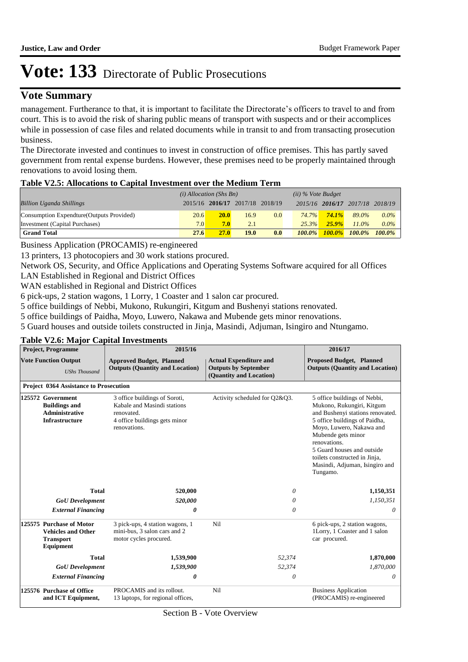### **Vote Summary**

management. Furtherance to that, it is important to facilitate the Directorate's officers to travel to and from court. This is to avoid the risk of sharing public means of transport with suspects and or their accomplices while in possession of case files and related documents while in transit to and from transacting prosecution business.

The Directorate invested and continues to invest in construction of office premises. This has partly saved government from rental expense burdens. However, these premises need to be properly maintained through renovations to avoid losing them.

#### **Table V2.5: Allocations to Capital Investment over the Medium Term**

|                                           | $(i)$ Allocation (Shs Bn) |             |                                 | $(ii)$ % Vote Budget |           |           |                                 |           |
|-------------------------------------------|---------------------------|-------------|---------------------------------|----------------------|-----------|-----------|---------------------------------|-----------|
| <b>Billion Uganda Shillings</b>           |                           |             | 2015/16 2016/17 2017/18 2018/19 |                      |           |           | 2015/16 2016/17 2017/18 2018/19 |           |
| Consumption Expendture (Outputs Provided) | 20.6                      | <b>20.0</b> | 16.9                            | 0.0                  | 74.7%     | 74.1%     | 89.0%                           | $0.0\%$   |
| Investment (Capital Purchases)            | 7.0                       | 7.0         | 2.1                             |                      | 25.3%     | $25.9\%$  | $11.0\%$                        | $0.0\%$   |
| <b>Grand Total</b>                        | 27.6                      | 27.0        | 19.0                            | 0.0                  | $100.0\%$ | $100.0\%$ | $100.0\%$                       | $100.0\%$ |

Business Application (PROCAMIS) re-engineered

13 printers, 13 photocopiers and 30 work stations procured.

Network OS, Security, and Office Applications and Operating Systems Software acquired for all Offices LAN Established in Regional and District Offices

WAN established in Regional and District Offices

6 pick-ups, 2 station wagons, 1 Lorry, 1 Coaster and 1 salon car procured.

5 office buildings of Nebbi, Mukono, Rukungiri, Kitgum and Bushenyi stations renovated.

5 office buildings of Paidha, Moyo, Luwero, Nakawa and Mubende gets minor renovations.

5 Guard houses and outside toilets constructed in Jinja, Masindi, Adjuman, Isingiro and Ntungamo.

#### **Approved Budget, Planned Outputs (Quantity and Location) Actual Expenditure and Outputs by September (Quantity and Location) Proposed Budget, Planned Outputs (Quantity and Location) Project, Programme Vote Function Output** *UShs Thousand* **2015/16 2016/17 Project 0364 Assistance to Prosecution** 3 office buildings of Soroti, Kabale and Masindi stations renovated. 4 office buildings gets minor renovations. Activity scheduled for Q2&Q3. **Buildings and Administrative Infrastructure** 5 office buildings of Nebbi, Mukono, Rukungiri, Kitgum and Bushenyi stations renovated. 5 office buildings of Paidha, Moyo, Luwero, Nakawa and Mubende gets minor renovations. 5 Guard houses and outside toilets constructed in Jinja, Masindi, Adjuman, Isingiro and Tungamo. **125572** *GoU Development External Financing* **Total** *520,000 0* **520,000** *0 0 0 1,150,351 0* **1,150,351 Purchase of Motor** 3 pick-ups, 4 station wagons, 1 Nil mini-bus, 3 salon cars and 2 motor cycles procured. **Vehicles and Other Transport Equipment** 6 pick-ups, 2 station wagons, 1Lorry, 1 Coaster and 1 salon car procured. **125575** *GoU Development External Financing* **Total** *1,539,900 0* **1,539,900** *52,374 0 52,374 1,870,000 0* **1,870,000 Purchase of Office** PROCAMIS and its rollout. Nil 13 laptops, for regional offices, **and ICT Equipment,**  Business Application (PROCAMIS) re-engineered **125576**

#### **Table V2.6: Major Capital Investments**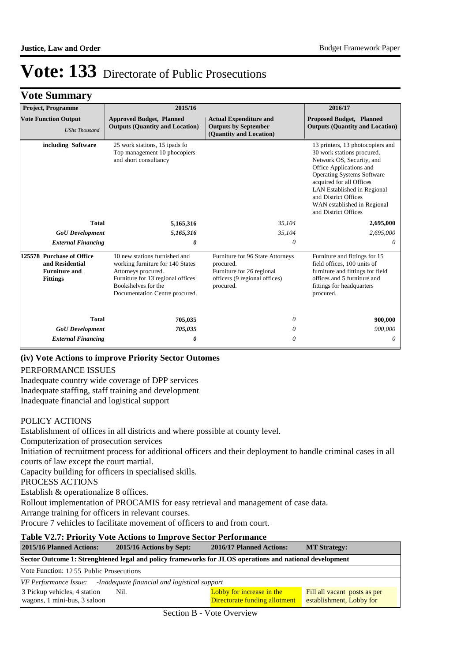| <b>Project, Programme</b>                                                               | 2015/16                                                                                                                                                                                |                                                                                                                          | 2016/17                                                                                                                                                                                                                                                                                        |
|-----------------------------------------------------------------------------------------|----------------------------------------------------------------------------------------------------------------------------------------------------------------------------------------|--------------------------------------------------------------------------------------------------------------------------|------------------------------------------------------------------------------------------------------------------------------------------------------------------------------------------------------------------------------------------------------------------------------------------------|
| <b>Vote Function Output</b><br><b>UShs Thousand</b>                                     | <b>Approved Budget, Planned</b><br><b>Outputs (Quantity and Location)</b>                                                                                                              | <b>Actual Expenditure and</b><br><b>Outputs by September</b><br>(Quantity and Location)                                  | <b>Proposed Budget, Planned</b><br><b>Outputs (Quantity and Location)</b>                                                                                                                                                                                                                      |
| including Software                                                                      | 25 work stations, 15 ipads fo<br>Top management 10 phocopiers<br>and short consultancy                                                                                                 |                                                                                                                          | 13 printers, 13 photocopiers and<br>30 work stations procured.<br>Network OS, Security, and<br>Office Applications and<br>Operating Systems Software<br>acquired for all Offices<br>LAN Established in Regional<br>and District Offices<br>WAN established in Regional<br>and District Offices |
| <b>Total</b>                                                                            | 5,165,316                                                                                                                                                                              | 35,104                                                                                                                   | 2,695,000                                                                                                                                                                                                                                                                                      |
| <b>GoU</b> Development                                                                  | 5,165,316                                                                                                                                                                              | 35,104                                                                                                                   | 2,695,000                                                                                                                                                                                                                                                                                      |
| <b>External Financing</b>                                                               | $\theta$                                                                                                                                                                               | 0                                                                                                                        | 0                                                                                                                                                                                                                                                                                              |
| 125578 Purchase of Office<br>and Residential<br><b>Furniture and</b><br><b>Fittings</b> | 10 new stations furnished and<br>working furniture for 140 States<br>Attorneys procured.<br>Furniture for 13 regional offices<br>Bookshelves for the<br>Documentation Centre procured. | Furniture for 96 State Attorneys<br>procured.<br>Furniture for 26 regional<br>officers (9 regional offices)<br>procured. | Furniture and fittings for 15<br>field offices, 100 units of<br>furniture and fittings for field<br>offices and 5 furniture and<br>fittings for headquarters<br>procured.                                                                                                                      |
| <b>Total</b>                                                                            | 705,035                                                                                                                                                                                | 0                                                                                                                        | 900,000                                                                                                                                                                                                                                                                                        |
| <b>GoU</b> Development                                                                  | 705,035                                                                                                                                                                                | 0                                                                                                                        | 900,000                                                                                                                                                                                                                                                                                        |
| <b>External Financing</b>                                                               | 0                                                                                                                                                                                      | 0                                                                                                                        | 0                                                                                                                                                                                                                                                                                              |

#### **(iv) Vote Actions to improve Priority Sector Outomes**

#### PERFORMANCE ISSUES

Inadequate country wide coverage of DPP services Inadequate staffing, staff training and development Inadequate financial and logistical support

#### POLICY ACTIONS

Establishment of offices in all districts and where possible at county level. Computerization of prosecution services Initiation of recruitment process for additional officers and their deployment to handle criminal cases in all courts of law except the court martial. Capacity building for officers in specialised skills. PROCESS ACTIONS Establish & operationalize 8 offices. Rollout implementation of PROCAMIS for easy retrieval and management of case data. Arrange training for officers in relevant courses.

Procure 7 vehicles to facilitate movement of officers to and from court.

#### **Table V2.7: Priority Vote Actions to Improve Sector Performance 2015/16 Planned Actions: 2015/16 Actions by Sept: 2016/17 Planned Actions: MT Strategy: Sector Outcome 1: Strenghtened legal and policy frameworks for JLOS operations and national development** Vote Function: 12 55 Public Prosecutions *VF Performance Issue: -Inadequate financial and logistical support* 3 Pickup vehicles, 4 station wagons, 1 mini-bus, 3 saloon Lobby for increase in the Directorate funding allotment Fill all vacant posts as per establishment, Lobby for Nil.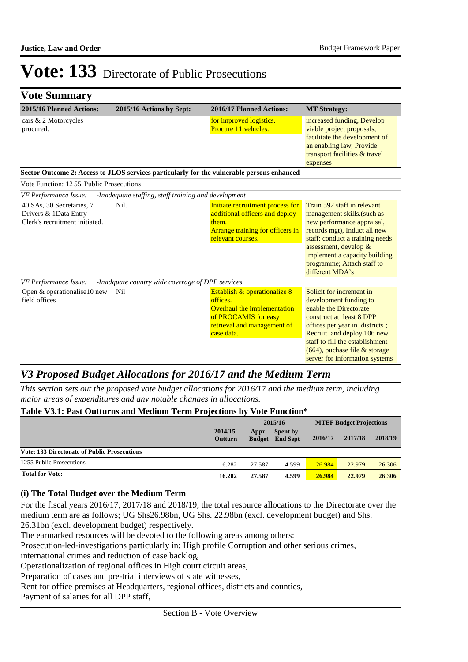# **Vote Summary**

| 2015/16 Planned Actions:                                                             | 2015/16 Actions by Sept:                                                                   | 2016/17 Planned Actions:                                                                                                                     | <b>MT Strategy:</b>                                                                                                                                                                                                                                                            |
|--------------------------------------------------------------------------------------|--------------------------------------------------------------------------------------------|----------------------------------------------------------------------------------------------------------------------------------------------|--------------------------------------------------------------------------------------------------------------------------------------------------------------------------------------------------------------------------------------------------------------------------------|
| cars & 2 Motorcycles<br>procured.                                                    |                                                                                            | for improved logistics.<br>Procure 11 vehicles.                                                                                              | increased funding, Develop<br>viable project proposals,<br>facilitate the development of<br>an enabling law, Provide<br>transport facilities & travel<br>expenses                                                                                                              |
|                                                                                      | Sector Outcome 2: Access to JLOS services particularly for the vulnerable persons enhanced |                                                                                                                                              |                                                                                                                                                                                                                                                                                |
| Vote Function: 1255 Public Prosecutions                                              |                                                                                            |                                                                                                                                              |                                                                                                                                                                                                                                                                                |
| VF Performance Issue:                                                                | -Inadequate staffing, staff training and development                                       |                                                                                                                                              |                                                                                                                                                                                                                                                                                |
| 40 SAs, 30 Secretaries, 7<br>Drivers & 1Data Entry<br>Clerk's recruitment initiated. | Nil.                                                                                       | Initiate recruitment process for<br>additional officers and deploy<br>them.<br>Arrange training for officers in<br>relevant courses.         | Train 592 staff in relevant<br>management skills.(such as<br>new performance appraisal,<br>records mgt), Induct all new<br>staff; conduct a training needs<br>assessment, develop &<br>implement a capacity building<br>programme; Attach staff to<br>different MDA's          |
| VF Performance Issue:                                                                | -Inadquate country wide coverage of DPP services                                           |                                                                                                                                              |                                                                                                                                                                                                                                                                                |
| Open & operationalise10 new<br>field offices                                         | Nil                                                                                        | Establish & operationalize 8<br>offices.<br>Overhaul the implementation<br>of PROCAMIS for easy<br>retrieval and management of<br>case data. | Solicit for increment in<br>development funding to<br>enable the Directorate<br>construct at least 8 DPP<br>offices per year in districts;<br>Recruit and deploy 106 new<br>staff to fill the establishment<br>(664), puchase file & storage<br>server for information systems |

# *V3 Proposed Budget Allocations for 2016/17 and the Medium Term*

*This section sets out the proposed vote budget allocations for 2016/17 and the medium term, including major areas of expenditures and any notable changes in allocations.* 

| Table V3.1: Past Outturns and Medium Term Projections by Vote Function* |                           |                        |                             |                                |         |         |
|-------------------------------------------------------------------------|---------------------------|------------------------|-----------------------------|--------------------------------|---------|---------|
|                                                                         |                           | 2015/16                |                             | <b>MTEF Budget Projections</b> |         |         |
|                                                                         | 2014/15<br><b>Outturn</b> | Appr.<br><b>Budget</b> | Spent by<br><b>End Sept</b> | 2016/17                        | 2017/18 | 2018/19 |
| <b>Vote: 133 Directorate of Public Prosecutions</b>                     |                           |                        |                             |                                |         |         |
| 1255 Public Prosecutions                                                | 16.282                    | 27.587                 | 4.599                       | 26.984                         | 22.979  | 26.306  |
| <b>Total for Vote:</b>                                                  | 16.282                    | 27.587                 | 4.599                       | 26.984                         | 22.979  | 26.306  |

#### **(i) The Total Budget over the Medium Term**

For the fiscal years 2016/17, 2017/18 and 2018/19, the total resource allocations to the Directorate over the medium term are as follows; UG Shs26.98bn, UG Shs. 22.98bn (excl. development budget) and Shs. 26.31bn (excl. development budget) respectively.

The earmarked resources will be devoted to the following areas among others:

Prosecution-led-investigations particularly in; High profile Corruption and other serious crimes,

international crimes and reduction of case backlog,

Operationalization of regional offices in High court circuit areas,

Preparation of cases and pre-trial interviews of state witnesses,

Rent for office premises at Headquarters, regional offices, districts and counties,

Payment of salaries for all DPP staff,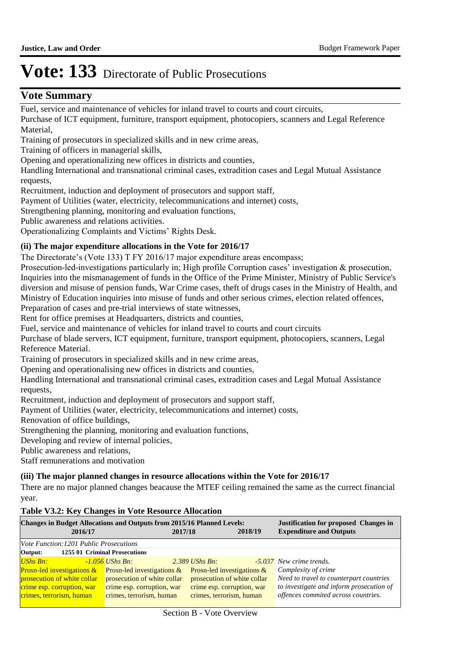### **Vote Summary**

Fuel, service and maintenance of vehicles for inland travel to courts and court circuits,

Purchase of ICT equipment, furniture, transport equipment, photocopiers, scanners and Legal Reference Material,

Training of prosecutors in specialized skills and in new crime areas,

Training of officers in managerial skills,

Opening and operationalizing new offices in districts and counties,

Handling International and transnational criminal cases, extradition cases and Legal Mutual Assistance requests,

Recruitment, induction and deployment of prosecutors and support staff,

Payment of Utilities (water, electricity, telecommunications and internet) costs,

Strengthening planning, monitoring and evaluation functions,

Public awareness and relations activities.

Operationalizing Complaints and Victims' Rights Desk.

#### **(ii) The major expenditure allocations in the Vote for 2016/17**

The Directorate's (Vote 133) T FY 2016/17 major expenditure areas encompass;

Prosecution-led-investigations particularly in; High profile Corruption cases' investigation & prosecution, Inquiries into the mismanagement of funds in the Office of the Prime Minister, Ministry of Public Service's diversion and misuse of pension funds, War Crime cases, theft of drugs cases in the Ministry of Health, and Ministry of Education inquiries into misuse of funds and other serious crimes, election related offences,

Preparation of cases and pre-trial interviews of state witnesses,

Rent for office premises at Headquarters, districts and counties,

Fuel, service and maintenance of vehicles for inland travel to courts and court circuits

Purchase of blade servers, ICT equipment, furniture, transport equipment, photocopiers, scanners, Legal Reference Material.

Training of prosecutors in specialized skills and in new crime areas,

Opening and operationalising new offices in districts and counties,

Handling International and transnational criminal cases, extradition cases and Legal Mutual Assistance requests,

Recruitment, induction and deployment of prosecutors and support staff,

Payment of Utilities (water, electricity, telecommunications and internet) costs,

Renovation of office buildings,

Strengthening the planning, monitoring and evaluation functions,

Developing and review of internal policies,

Public awareness and relations,

Staff remunerations and motivation

### **(iii) The major planned changes in resource allocations within the Vote for 2016/17**

There are no major planned changes beacause the MTEF ceiling remained the same as the currect financial year.

#### **Table V3.2: Key Changes in Vote Resource Allocation**

| <b>Changes in Budget Allocations and Outputs from 2015/16 Planned Levels:</b><br>2016/17 |                             | 2017/18                       | 2018/19 | <b>Justification for proposed Changes in</b><br><b>Expenditure and Outputs</b> |
|------------------------------------------------------------------------------------------|-----------------------------|-------------------------------|---------|--------------------------------------------------------------------------------|
| <i>Vote Function:1201 Public Prosecutions</i>                                            |                             |                               |         |                                                                                |
| Output:<br>1255 01 Criminal Prosecutions                                                 |                             |                               |         |                                                                                |
| <b>UShs Bn:</b>                                                                          | $-1.056$ UShs Bn:           | $2.389$ UShs Bn:              |         | -5.037 New crime trends.                                                       |
| <b>Prosn-led investigations <math>\&amp;</math></b>                                      | Prosn-led investigations &  | Prosn-led investigations $\&$ |         | Complexity of crime                                                            |
| prosecution of white collar                                                              | prosecution of white collar | prosecution of white collar   |         | Need to travel to counterpart countries                                        |
| crime esp. corruption, war                                                               | crime esp. corruption, war  | crime esp. corruption, war    |         | to investigate and inform prosecution of                                       |
| crimes, terrorism, human                                                                 | crimes, terrorism, human    | crimes, terrorism, human      |         | offences commited across countries.                                            |
|                                                                                          |                             |                               |         |                                                                                |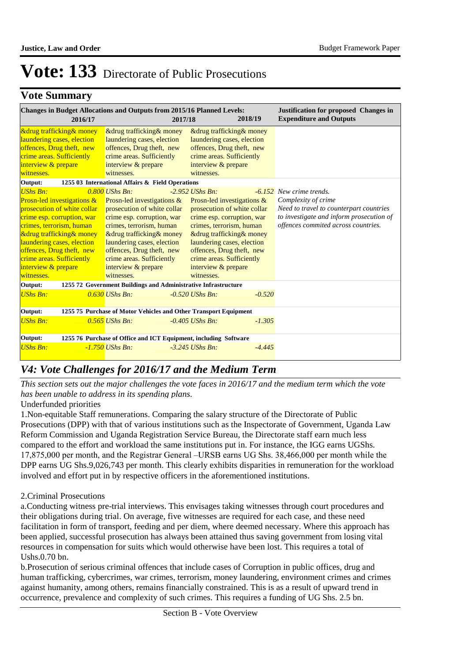### **Vote Summary**

| 2016/17                                                                                                                                                                                                                                                                                      | <b>Changes in Budget Allocations and Outputs from 2015/16 Planned Levels:</b><br>2017/18                                                                                                                                                                                                            | 2018/19                                                                                                                                                                                                                                                                                              | <b>Justification for proposed Changes in</b><br><b>Expenditure and Outputs</b>                                                                                                       |  |  |
|----------------------------------------------------------------------------------------------------------------------------------------------------------------------------------------------------------------------------------------------------------------------------------------------|-----------------------------------------------------------------------------------------------------------------------------------------------------------------------------------------------------------------------------------------------------------------------------------------------------|------------------------------------------------------------------------------------------------------------------------------------------------------------------------------------------------------------------------------------------------------------------------------------------------------|--------------------------------------------------------------------------------------------------------------------------------------------------------------------------------------|--|--|
| <b>&amp;drug trafficking &amp; money</b><br>laundering cases, election<br>offences, Drug theft, new<br>crime areas. Sufficiently<br>interview & prepare<br>witnesses.                                                                                                                        | & drug trafficking & money<br>laundering cases, election<br>offences, Drug theft, new<br>crime areas. Sufficiently<br>interview & prepare<br>witnesses.                                                                                                                                             | & drug trafficking & money<br>laundering cases, election<br>offences, Drug theft, new<br>crime areas. Sufficiently<br>interview & prepare<br>witnesses.                                                                                                                                              |                                                                                                                                                                                      |  |  |
| Output:                                                                                                                                                                                                                                                                                      | 1255 03 International Affairs & Field Operations                                                                                                                                                                                                                                                    |                                                                                                                                                                                                                                                                                                      |                                                                                                                                                                                      |  |  |
| $UShs$ $Bn:$<br>Prosn-led investigations &<br>prosecution of white collar<br>crime esp. corruption, war<br>crimes, terrorism, human<br>&drug trafficking& money<br>laundering cases, election<br>offences, Drug theft, new<br>crime areas. Sufficiently<br>interview & prepare<br>witnesses. | $0.800$ UShs Bn:<br>Prosn-led investigations $\&$<br>prosecution of white collar<br>crime esp. corruption, war<br>crimes, terrorism, human<br>&drug trafficking& money<br>laundering cases, election<br>offences, Drug theft, new<br>crime areas. Sufficiently<br>interview & prepare<br>witnesses. | $-2.952$ UShs Bn:<br>Prosn-led investigations $\&$<br>prosecution of white collar<br>crime esp. corruption, war<br>crimes, terrorism, human<br>&drug trafficking& money<br>laundering cases, election<br>offences, Drug theft, new<br>crime areas. Sufficiently<br>interview & prepare<br>witnesses. | <b>-6.152</b> New crime trends.<br>Complexity of crime<br>Need to travel to counterpart countries<br>to investigate and inform prosecution of<br>offences commited across countries. |  |  |
| 1255 72 Government Buildings and Administrative Infrastructure<br>Output:                                                                                                                                                                                                                    |                                                                                                                                                                                                                                                                                                     |                                                                                                                                                                                                                                                                                                      |                                                                                                                                                                                      |  |  |
| <b>UShs Bn:</b>                                                                                                                                                                                                                                                                              | $0.630$ UShs Bn:                                                                                                                                                                                                                                                                                    | $-0.520$ UShs Bn:<br>$-0.520$                                                                                                                                                                                                                                                                        |                                                                                                                                                                                      |  |  |
| 1255 75 Purchase of Motor Vehicles and Other Transport Equipment<br>Output:                                                                                                                                                                                                                  |                                                                                                                                                                                                                                                                                                     |                                                                                                                                                                                                                                                                                                      |                                                                                                                                                                                      |  |  |
| <b>UShs Bn:</b>                                                                                                                                                                                                                                                                              | $0.565$ UShs Bn:                                                                                                                                                                                                                                                                                    | $-0.405$ UShs Bn:<br>$-1.305$                                                                                                                                                                                                                                                                        |                                                                                                                                                                                      |  |  |
| Output:<br>1255 76 Purchase of Office and ICT Equipment, including Software                                                                                                                                                                                                                  |                                                                                                                                                                                                                                                                                                     |                                                                                                                                                                                                                                                                                                      |                                                                                                                                                                                      |  |  |
| <b>UShs Bn:</b>                                                                                                                                                                                                                                                                              | $-1.750$ UShs Bn:                                                                                                                                                                                                                                                                                   | $-3.245$ UShs Bn:<br>$-4.445$                                                                                                                                                                                                                                                                        |                                                                                                                                                                                      |  |  |

# *V4: Vote Challenges for 2016/17 and the Medium Term*

*This section sets out the major challenges the vote faces in 2016/17 and the medium term which the vote has been unable to address in its spending plans.*

Underfunded priorities

1. Non-equitable Staff remunerations. Comparing the salary structure of the Directorate of Public Prosecutions (DPP) with that of various institutions such as the Inspectorate of Government, Uganda Law Reform Commission and Uganda Registration Service Bureau, the Directorate staff earn much less compared to the effort and workload the same institutions put in. For instance, the IGG earns UGShs. 17,875,000 per month, and the Registrar General –URSB earns UG Shs. 38,466,000 per month while the DPP earns UG Shs.9,026,743 per month. This clearly exhibits disparities in remuneration for the workload involved and effort put in by respective officers in the aforementioned institutions.

2. Criminal Prosecutions

a. Conducting witness pre-trial interviews. This envisages taking witnesses through court procedures and their obligations during trial. On average, five witnesses are required for each case, and these need facilitation in form of transport, feeding and per diem, where deemed necessary. Where this approach has been applied, successful prosecution has always been attained thus saving government from losing vital resources in compensation for suits which would otherwise have been lost. This requires a total of Ushs.0.70 bn.

b. Prosecution of serious criminal offences that include cases of Corruption in public offices, drug and human trafficking, cybercrimes, war crimes, terrorism, money laundering, environment crimes and crimes against humanity, among others, remains financially constrained. This is as a result of upward trend in occurrence, prevalence and complexity of such crimes. This requires a funding of UG Shs. 2.5 bn.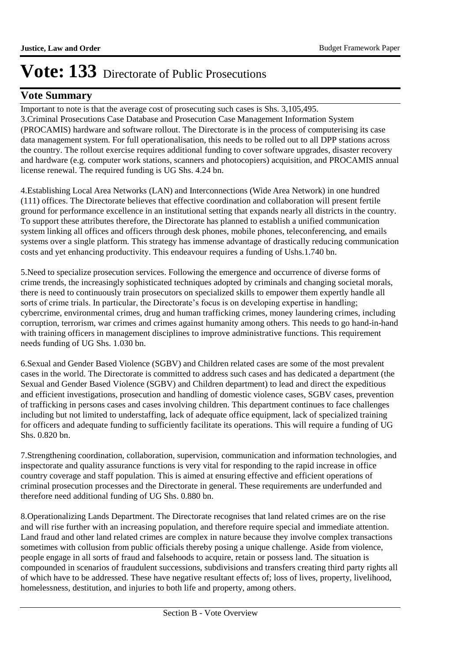### **Vote Summary**

Important to note is that the average cost of prosecuting such cases is Shs. 3,105,495. 3. Criminal Prosecutions Case Database and Prosecution Case Management Information System (PROCAMIS) hardware and software rollout. The Directorate is in the process of computerising its case data management system. For full operationalisation, this needs to be rolled out to all DPP stations across the country. The rollout exercise requires additional funding to cover software upgrades, disaster recovery and hardware (e.g. computer work stations, scanners and photocopiers) acquisition, and PROCAMIS annual license renewal. The required funding is UG Shs. 4.24 bn.

4. Establishing Local Area Networks (LAN) and Interconnections (Wide Area Network) in one hundred (111) offices. The Directorate believes that effective coordination and collaboration will present fertile ground for performance excellence in an institutional setting that expands nearly all districts in the country. To support these attributes therefore, the Directorate has planned to establish a unified communication system linking all offices and officers through desk phones, mobile phones, teleconferencing, and emails systems over a single platform. This strategy has immense advantage of drastically reducing communication costs and yet enhancing productivity. This endeavour requires a funding of Ushs.1.740 bn.

5. Need to specialize prosecution services. Following the emergence and occurrence of diverse forms of crime trends, the increasingly sophisticated techniques adopted by criminals and changing societal morals, there is need to continuously train prosecutors on specialized skills to empower them expertly handle all sorts of crime trials. In particular, the Directorate's focus is on developing expertise in handling; cybercrime, environmental crimes, drug and human trafficking crimes, money laundering crimes, including corruption, terrorism, war crimes and crimes against humanity among others. This needs to go hand-in-hand with training officers in management disciplines to improve administrative functions. This requirement needs funding of UG Shs. 1.030 bn.

6. Sexual and Gender Based Violence (SGBV) and Children related cases are some of the most prevalent cases in the world. The Directorate is committed to address such cases and has dedicated a department (the Sexual and Gender Based Violence (SGBV) and Children department) to lead and direct the expeditious and efficient investigations, prosecution and handling of domestic violence cases, SGBV cases, prevention of trafficking in persons cases and cases involving children. This department continues to face challenges including but not limited to understaffing, lack of adequate office equipment, lack of specialized training for officers and adequate funding to sufficiently facilitate its operations. This will require a funding of UG Shs. 0.820 bn.

7. Strengthening coordination, collaboration, supervision, communication and information technologies, and inspectorate and quality assurance functions is very vital for responding to the rapid increase in office country coverage and staff population. This is aimed at ensuring effective and efficient operations of criminal prosecution processes and the Directorate in general. These requirements are underfunded and therefore need additional funding of UG Shs. 0.880 bn.

8. Operationalizing Lands Department. The Directorate recognises that land related crimes are on the rise and will rise further with an increasing population, and therefore require special and immediate attention. Land fraud and other land related crimes are complex in nature because they involve complex transactions sometimes with collusion from public officials thereby posing a unique challenge. Aside from violence, people engage in all sorts of fraud and falsehoods to acquire, retain or possess land. The situation is compounded in scenarios of fraudulent successions, subdivisions and transfers creating third party rights all of which have to be addressed. These have negative resultant effects of; loss of lives, property, livelihood, homelessness, destitution, and injuries to both life and property, among others.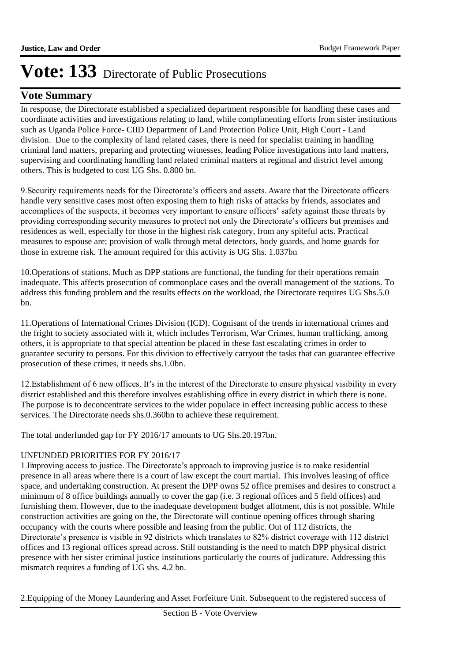### **Vote Summary**

In response, the Directorate established a specialized department responsible for handling these cases and coordinate activities and investigations relating to land, while complimenting efforts from sister institutions such as Uganda Police Force- CIID Department of Land Protection Police Unit, High Court - Land division. Due to the complexity of land related cases, there is need for specialist training in handling criminal land matters, preparing and protecting witnesses, leading Police investigations into land matters, supervising and coordinating handling land related criminal matters at regional and district level among others. This is budgeted to cost UG Shs. 0.800 bn.

9. Security requirements needs for the Directorate's officers and assets. Aware that the Directorate officers handle very sensitive cases most often exposing them to high risks of attacks by friends, associates and accomplices of the suspects, it becomes very important to ensure officers' safety against these threats by providing corresponding security measures to protect not only the Directorate's officers but premises and residences as well, especially for those in the highest risk category, from any spiteful acts. Practical measures to espouse are; provision of walk through metal detectors, body guards, and home guards for those in extreme risk. The amount required for this activity is UG Shs. 1.037bn

10. Operations of stations. Much as DPP stations are functional, the funding for their operations remain inadequate. This affects prosecution of commonplace cases and the overall management of the stations. To address this funding problem and the results effects on the workload, the Directorate requires UG Shs.5.0 bn.

11. Operations of International Crimes Division (ICD). Cognisant of the trends in international crimes and the fright to society associated with it, which includes Terrorism, War Crimes, human trafficking, among others, it is appropriate to that special attention be placed in these fast escalating crimes in order to guarantee security to persons. For this division to effectively carryout the tasks that can guarantee effective prosecution of these crimes, it needs shs.1.0bn.

12. Establishment of 6 new offices. It's in the interest of the Directorate to ensure physical visibility in every district established and this therefore involves establishing office in every district in which there is none. The purpose is to deconcentrate services to the wider populace in effect increasing public access to these services. The Directorate needs shs.0.360bn to achieve these requirement.

The total underfunded gap for FY 2016/17 amounts to UG Shs.20.197bn.

#### UNFUNDED PRIORITIES FOR FY 2016/17

1. Improving access to justice. The Directorate's approach to improving justice is to make residential presence in all areas where there is a court of law except the court martial. This involves leasing of office space, and undertaking construction. At present the DPP owns 52 office premises and desires to construct a minimum of 8 office buildings annually to cover the gap (i.e. 3 regional offices and 5 field offices) and furnishing them. However, due to the inadequate development budget allotment, this is not possible. While construction activities are going on the, the Directorate will continue opening offices through sharing occupancy with the courts where possible and leasing from the public. Out of 112 districts, the Directorate's presence is visible in 92 districts which translates to 82% district coverage with 112 district offices and 13 regional offices spread across. Still outstanding is the need to match DPP physical district presence with her sister criminal justice institutions particularly the courts of judicature. Addressing this mismatch requires a funding of UG shs. 4.2 bn.

2. Equipping of the Money Laundering and Asset Forfeiture Unit. Subsequent to the registered success of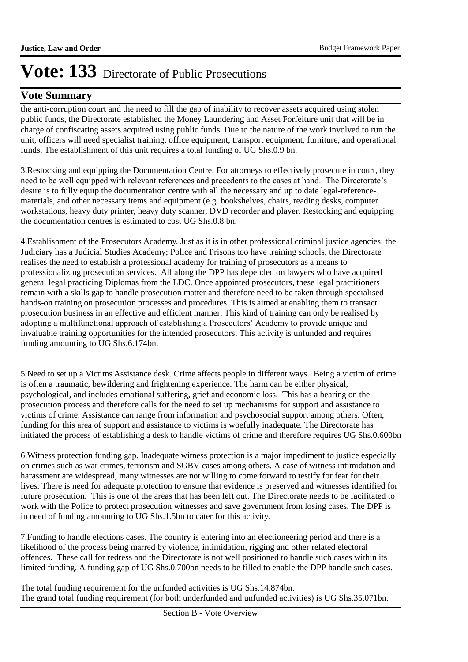### **Vote Summary**

the anti-corruption court and the need to fill the gap of inability to recover assets acquired using stolen public funds, the Directorate established the Money Laundering and Asset Forfeiture unit that will be in charge of confiscating assets acquired using public funds. Due to the nature of the work involved to run the unit, officers will need specialist training, office equipment, transport equipment, furniture, and operational funds. The establishment of this unit requires a total funding of UG Shs.0.9 bn.

3. Restocking and equipping the Documentation Centre. For attorneys to effectively prosecute in court, they need to be well equipped with relevant references and precedents to the cases at hand. The Directorate's desire is to fully equip the documentation centre with all the necessary and up to date legal-referencematerials, and other necessary items and equipment (e.g. bookshelves, chairs, reading desks, computer workstations, heavy duty printer, heavy duty scanner, DVD recorder and player. Restocking and equipping the documentation centres is estimated to cost UG Shs.0.8 bn.

4. Establishment of the Prosecutors Academy. Just as it is in other professional criminal justice agencies: the Judiciary has a Judicial Studies Academy; Police and Prisons too have training schools, the Directorate realises the need to establish a professional academy for training of prosecutors as a means to professionalizing prosecution services. All along the DPP has depended on lawyers who have acquired general legal practicing Diplomas from the LDC. Once appointed prosecutors, these legal practitioners remain with a skills gap to handle prosecution matter and therefore need to be taken through specialised hands-on training on prosecution processes and procedures. This is aimed at enabling them to transact prosecution business in an effective and efficient manner. This kind of training can only be realised by adopting a multifunctional approach of establishing a Prosecutors' Academy to provide unique and invaluable training opportunities for the intended prosecutors. This activity is unfunded and requires funding amounting to UG Shs.6.174bn.

5. Need to set up a Victims Assistance desk. Crime affects people in different ways. Being a victim of crime is often a traumatic, bewildering and frightening experience. The harm can be either physical, psychological, and includes emotional suffering, grief and economic loss. This has a bearing on the prosecution process and therefore calls for the need to set up mechanisms for support and assistance to victims of crime. Assistance can range from information and psychosocial support among others. Often, funding for this area of support and assistance to victims is woefully inadequate. The Directorate has initiated the process of establishing a desk to handle victims of crime and therefore requires UG Shs.0.600bn

6. Witness protection funding gap. Inadequate witness protection is a major impediment to justice especially on crimes such as war crimes, terrorism and SGBV cases among others. A case of witness intimidation and harassment are widespread, many witnesses are not willing to come forward to testify for fear for their lives. There is need for adequate protection to ensure that evidence is preserved and witnesses identified for future prosecution. This is one of the areas that has been left out. The Directorate needs to be facilitated to work with the Police to protect prosecution witnesses and save government from losing cases. The DPP is in need of funding amounting to UG Shs.1.5bn to cater for this activity.

7. Funding to handle elections cases. The country is entering into an electioneering period and there is a likelihood of the process being marred by violence, intimidation, rigging and other related electoral offences. These call for redress and the Directorate is not well positioned to handle such cases within its limited funding. A funding gap of UG Shs.0.700bn needs to be filled to enable the DPP handle such cases.

The total funding requirement for the unfunded activities is UG Shs.14.874bn. The grand total funding requirement (for both underfunded and unfunded activities) is UG Shs.35.071bn.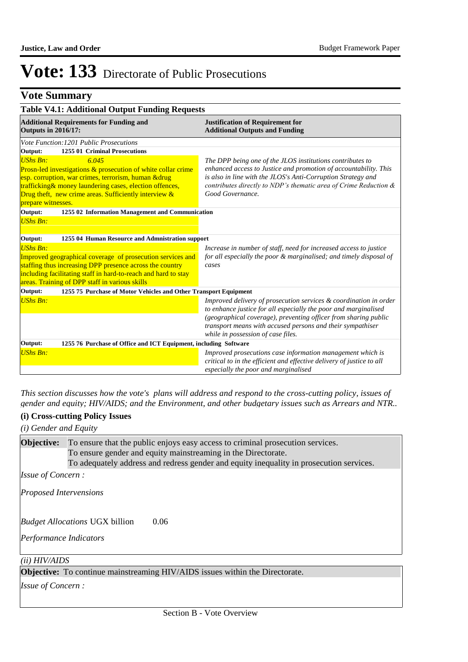# **Vote Summary**

| <b>Table V4.1: Additional Output Funding Requests</b>                        |                                                                                  |  |  |
|------------------------------------------------------------------------------|----------------------------------------------------------------------------------|--|--|
| <b>Additional Requirements for Funding and</b><br><b>Outputs in 2016/17:</b> | <b>Justification of Requirement for</b><br><b>Additional Outputs and Funding</b> |  |  |
| Vote Function: 1201 Public Prosecutions                                      |                                                                                  |  |  |
| Output:<br>1255 01 Criminal Prosecutions                                     |                                                                                  |  |  |
| <b>UShs Bn:</b><br>6.045                                                     | The DPP being one of the JLOS institutions contributes to                        |  |  |
| Prosn-led investigations & prosecution of white collar crime                 | enhanced access to Justice and promotion of accountability. This                 |  |  |
| esp. corruption, war crimes, terrorism, human & drug                         | is also in line with the JLOS's Anti-Corruption Strategy and                     |  |  |
| trafficking& money laundering cases, election offences,                      | contributes directly to NDP's thematic area of Crime Reduction &                 |  |  |
| Drug theft, new crime areas. Sufficiently interview $\&$                     | Good Governance.                                                                 |  |  |
| prepare witnesses.                                                           |                                                                                  |  |  |
| Output:<br>1255 02 Information Management and Communication                  |                                                                                  |  |  |
| <b>UShs Bn:</b>                                                              |                                                                                  |  |  |
|                                                                              |                                                                                  |  |  |
| Output:<br>1255 04 Human Resource and Admnistration support                  |                                                                                  |  |  |
| <b>UShs Bn:</b>                                                              | Increase in number of staff, need for increased access to justice                |  |  |
| Improved geographical coverage of prosecution services and                   | for all especially the poor & marginalised; and timely disposal of               |  |  |
| staffing thus increasing DPP presence across the country                     | cases                                                                            |  |  |
| including facilitating staff in hard-to-reach and hard to stay               |                                                                                  |  |  |
| areas. Training of DPP staff in various skills                               |                                                                                  |  |  |
| Output:<br>1255 75 Purchase of Motor Vehicles and Other Transport Equipment  |                                                                                  |  |  |
| <b>UShs Bn:</b>                                                              | Improved delivery of prosecution services & coordination in order                |  |  |
|                                                                              | to enhance justice for all especially the poor and marginalised                  |  |  |
|                                                                              | (geographical coverage), preventing officer from sharing public                  |  |  |
|                                                                              | transport means with accused persons and their sympathiser                       |  |  |
|                                                                              | while in possession of case files.                                               |  |  |
| 1255 76 Purchase of Office and ICT Equipment, including Software<br>Output:  |                                                                                  |  |  |
| <b>UShs Bn:</b>                                                              | Improved prosecutions case information management which is                       |  |  |
|                                                                              | critical to in the efficient and effective delivery of justice to all            |  |  |
|                                                                              | especially the poor and marginalised                                             |  |  |

*This section discusses how the vote's plans will address and respond to the cross-cutting policy, issues of gender and equity; HIV/AIDS; and the Environment, and other budgetary issues such as Arrears and NTR..* 

#### **(i) Cross-cutting Policy Issues**

*(i) Gender and Equity*

To ensure that the public enjoys easy access to criminal prosecution services. To ensure gender and equity mainstreaming in the Directorate. To adequately address and redress gender and equity inequality in prosecution services. **Objective:**

*Issue of Concern :*

*Proposed Intervensions* 

0.06 *Budget Allocations*  UGX billion

*Performance Indicators*

#### *(ii) HIV/AIDS*

**Objective:** To continue mainstreaming HIV/AIDS issues within the Directorate.

*Issue of Concern :*